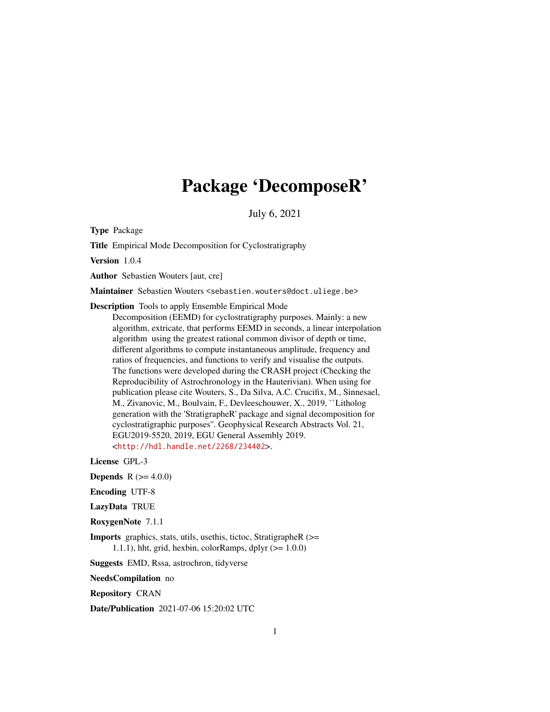# Package 'DecomposeR'

July 6, 2021

<span id="page-0-0"></span>Type Package

Title Empirical Mode Decomposition for Cyclostratigraphy

Version 1.0.4

Author Sebastien Wouters [aut, cre]

Maintainer Sebastien Wouters <sebastien.wouters@doct.uliege.be>

Description Tools to apply Ensemble Empirical Mode

Decomposition (EEMD) for cyclostratigraphy purposes. Mainly: a new algorithm, extricate, that performs EEMD in seconds, a linear interpolation algorithm using the greatest rational common divisor of depth or time, different algorithms to compute instantaneous amplitude, frequency and ratios of frequencies, and functions to verify and visualise the outputs. The functions were developed during the CRASH project (Checking the Reproducibility of Astrochronology in the Hauterivian). When using for publication please cite Wouters, S., Da Silva, A.C. Crucifix, M., Sinnesael, M., Zivanovic, M., Boulvain, F., Devleeschouwer, X., 2019, ``Litholog generation with the 'StratigrapheR' package and signal decomposition for cyclostratigraphic purposes''. Geophysical Research Abstracts Vol. 21, EGU2019-5520, 2019, EGU General Assembly 2019. <<http://hdl.handle.net/2268/234402>>.

License GPL-3

**Depends** R  $(>= 4.0.0)$ 

Encoding UTF-8

LazyData TRUE

RoxygenNote 7.1.1

Imports graphics, stats, utils, usethis, tictoc, StratigrapheR (>= 1.1.1), hht, grid, hexbin, colorRamps, dplyr  $(>= 1.0.0)$ 

Suggests EMD, Rssa, astrochron, tidyverse

NeedsCompilation no

Repository CRAN

Date/Publication 2021-07-06 15:20:02 UTC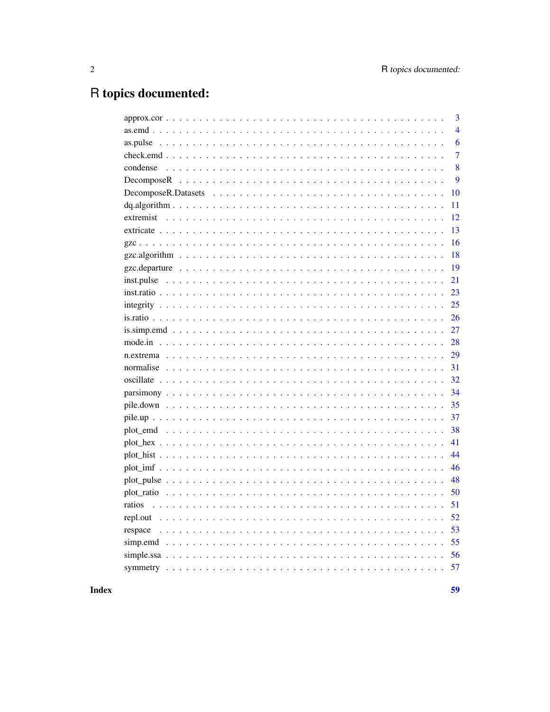## R topics documented:

|          | 3              |
|----------|----------------|
|          | $\overline{4}$ |
| as.pulse | 6              |
|          | 7              |
| condense | 8              |
|          | 9              |
|          | 10             |
|          | 11             |
|          | 12             |
|          | 13             |
|          | 16             |
|          | 18             |
|          | 19             |
|          | 21             |
|          | 23             |
|          | 25             |
|          | 26             |
|          | 27             |
|          | 28             |
|          | 29             |
|          | 31             |
|          | 32             |
|          | 34             |
|          | 35             |
|          | 37             |
|          | 38             |
|          | 41             |
|          | 44             |
|          | 46             |
|          | 48             |
|          | 50             |
| ratios   | 51             |
| repl.out | 52             |
| respace  | 53             |
|          | 55             |
|          | 56             |
|          | 57             |
|          |                |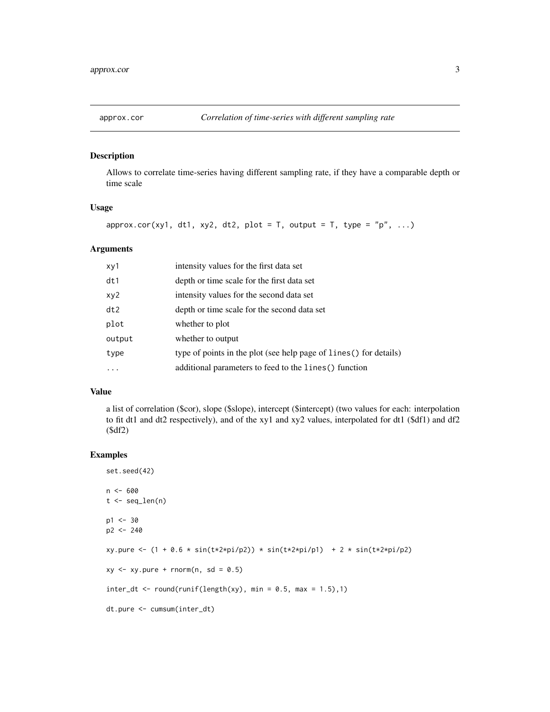<span id="page-2-0"></span>

#### Description

Allows to correlate time-series having different sampling rate, if they have a comparable depth or time scale

## Usage

approx.cor(xy1, dt1, xy2, dt2, plot = T, output = T, type = "p", ...)

#### Arguments

| xy1    | intensity values for the first data set                            |
|--------|--------------------------------------------------------------------|
| dt1    | depth or time scale for the first data set                         |
| xy2    | intensity values for the second data set                           |
| dt2    | depth or time scale for the second data set                        |
| plot   | whether to plot                                                    |
| output | whether to output                                                  |
| type   | type of points in the plot (see help page of lines () for details) |
|        | additional parameters to feed to the lines () function             |

#### Value

a list of correlation (\$cor), slope (\$slope), intercept (\$intercept) (two values for each: interpolation to fit dt1 and dt2 respectively), and of the xy1 and xy2 values, interpolated for dt1 (\$df1) and df2 (\$df2)

```
set.seed(42)
n < - 600t < - seq_len(n)
p1 < -30p2 <- 240
xy.pure <- (1 + 0.6 * sin(t*2*pi/p2)) * sin(t*2*pi/p1) + 2 * sin(t*2*pi/p2)
xy \le -xy.pure + rnorm(n, sd = 0.5)inter_dt \leftarrow round(runif(length(xy), min = 0.5, max = 1.5),1)dt.pure <- cumsum(inter_dt)
```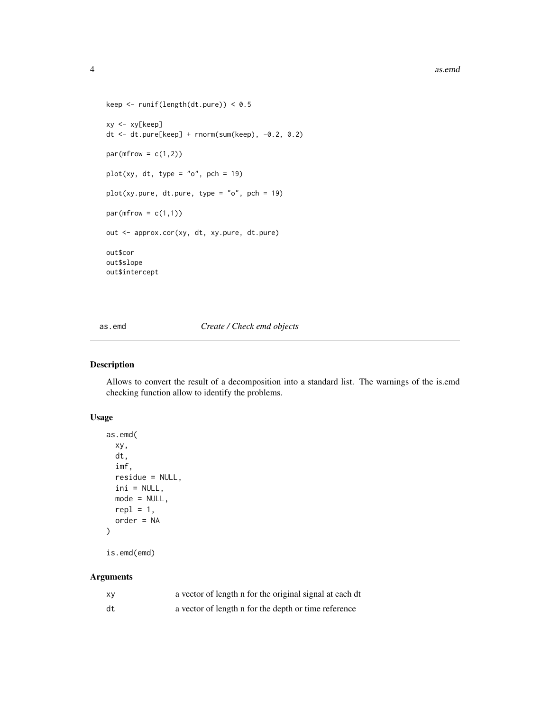```
keep <- runif(length(dt.pure)) < 0.5
xy <- xy[keep]
dt <- dt.pure[keep] + rnorm(sum(keep), -0.2, 0.2)
par(mfrow = c(1,2))plot(xy, dt, type = "o", pch = 19)
plot(xy.pure, dt.pure, type = "o", pch = 19)par(mfrow = c(1,1))out <- approx.cor(xy, dt, xy.pure, dt.pure)
out$cor
out$slope
out$intercept
```
<span id="page-3-1"></span>as.emd *Create / Check emd objects*

## Description

Allows to convert the result of a decomposition into a standard list. The warnings of the is.emd checking function allow to identify the problems.

## Usage

```
as.emd(
  xy,
  dt,
  imf,
 residue = NULL,
  ini = NULL,mode = NULL,
 repl = 1,
 order = NA
)
```
#### Arguments

is.emd(emd)

| X٧ | a vector of length n for the original signal at each dt |
|----|---------------------------------------------------------|
| dt | a vector of length n for the depth or time reference    |

<span id="page-3-0"></span>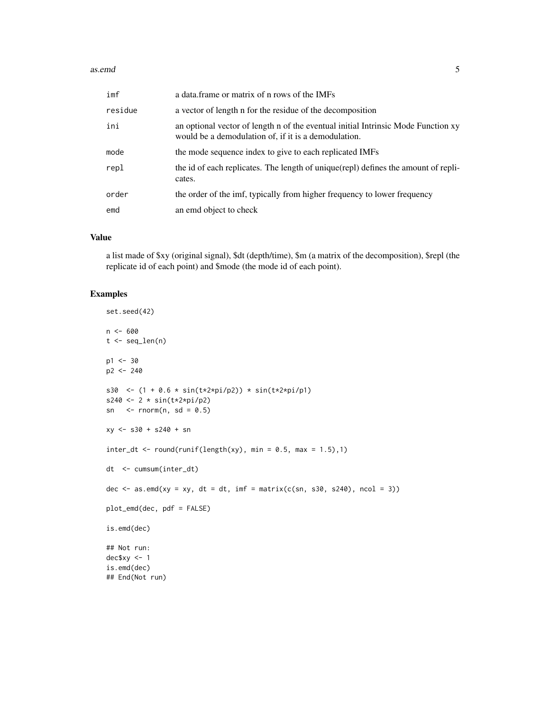#### as.emd 5

| imf     | a data. frame or matrix of n rows of the IMFs                                                                                             |
|---------|-------------------------------------------------------------------------------------------------------------------------------------------|
| residue | a vector of length n for the residue of the decomposition                                                                                 |
| ini     | an optional vector of length n of the eventual initial Intrinsic Mode Function xy<br>would be a demodulation of, if it is a demodulation. |
| mode    | the mode sequence index to give to each replicated IMFs                                                                                   |
| repl    | the id of each replicates. The length of unique(repl) defines the amount of repli-<br>cates.                                              |
| order   | the order of the imf, typically from higher frequency to lower frequency                                                                  |
| emd     | an emd object to check                                                                                                                    |

## Value

a list made of \$xy (original signal), \$dt (depth/time), \$m (a matrix of the decomposition), \$repl (the replicate id of each point) and \$mode (the mode id of each point).

```
set.seed(42)
n < - 600t <- seq_len(n)
p1 < -30p2 <- 240
s30 <- (1 + 0.6 * sin(t*2*pi/p2)) * sin(t*2*pi/p1)s240 <- 2 * sin(t*2*pi/p2)
sn \le rnorm(n, sd = 0.5)
xy <- s30 + s240 + sn
inter_dt \leftarrow round(runif(length(xy), min = 0.5, max = 1.5),1)dt <- cumsum(inter_dt)
dec \leq as.emd(xy = xy, dt = dt, imf = matrix(c(sn, s30, s240), ncol = 3))
plot_emd(dec, pdf = FALSE)
is.emd(dec)
## Not run:
dec$xy <- 1
is.emd(dec)
## End(Not run)
```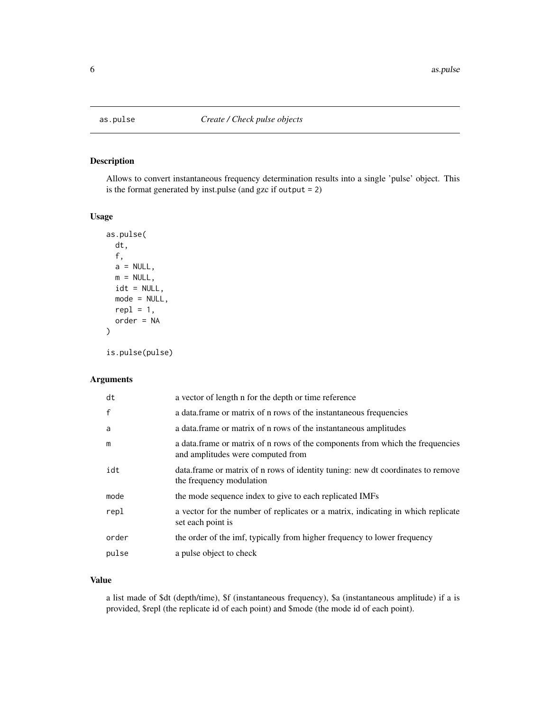<span id="page-5-1"></span><span id="page-5-0"></span>

## Description

Allows to convert instantaneous frequency determination results into a single 'pulse' object. This is the format generated by inst.pulse (and gzc if output = 2)

## Usage

```
as.pulse(
  dt,
  f,
  a = NULL,m = NULL,idt = NULL,mode = NULL,
  repl = 1,
  order = NA
\mathcal{L}is.pulse(pulse)
```
#### Arguments

| dt           | a vector of length n for the depth or time reference                                                               |
|--------------|--------------------------------------------------------------------------------------------------------------------|
| $\mathsf{f}$ | a data frame or matrix of n rows of the instantaneous frequencies                                                  |
| a            | a data frame or matrix of n rows of the instantaneous amplitudes                                                   |
| m            | a data.frame or matrix of n rows of the components from which the frequencies<br>and amplitudes were computed from |
| idt          | data. frame or matrix of n rows of identity tuning: new dt coordinates to remove<br>the frequency modulation       |
| mode         | the mode sequence index to give to each replicated IMFs                                                            |
| repl         | a vector for the number of replicates or a matrix, indicating in which replicate<br>set each point is              |
| order        | the order of the imf, typically from higher frequency to lower frequency                                           |
| pulse        | a pulse object to check                                                                                            |
|              |                                                                                                                    |

## Value

a list made of \$dt (depth/time), \$f (instantaneous frequency), \$a (instantaneous amplitude) if a is provided, \$repl (the replicate id of each point) and \$mode (the mode id of each point).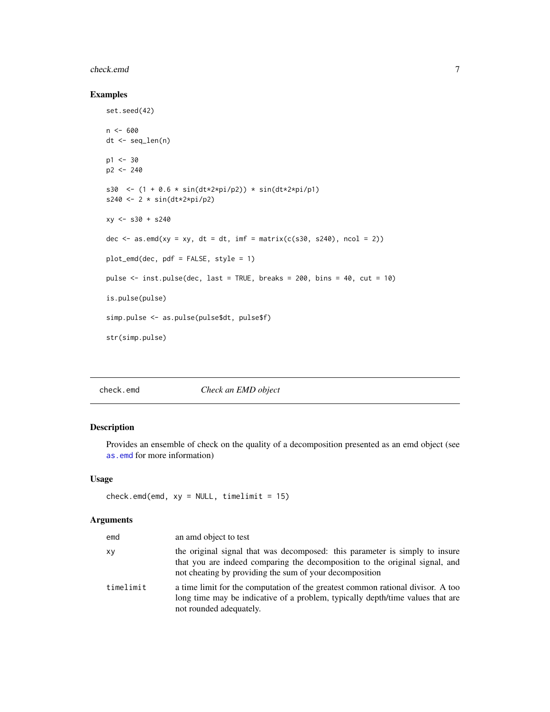#### <span id="page-6-0"></span>check.emd 7

## Examples

```
set.seed(42)
n < - 600dt <- seq_len(n)
p1 < -30p2 <- 240
s30 <- (1 + 0.6 * sin(dt * 2 * pi/p2)) * sin(dt * 2 * pi/p1)s240 <- 2 * sin(dt*2*pi/p2)
xy \le - 530 + 5240dec \leq as.emd(xy = xy, dt = dt, imf = matrix(c(s30, s240), ncol = 2))
plot_emd(dec, pdf = FALSE, style = 1)
pulse <- inst.pulse(dec, last = TRUE, breaks = 200, bins = 40, cut = 10)
is.pulse(pulse)
simp.pulse <- as.pulse(pulse$dt, pulse$f)
str(simp.pulse)
```
check.emd *Check an EMD object*

## Description

Provides an ensemble of check on the quality of a decomposition presented as an emd object (see [as.emd](#page-3-1) for more information)

## Usage

```
check.emd(emd, xy = NULL, timelimit = 15)
```

| emd       | an amd object to test                                                                                                                                                                                                 |
|-----------|-----------------------------------------------------------------------------------------------------------------------------------------------------------------------------------------------------------------------|
| хy        | the original signal that was decomposed: this parameter is simply to insure<br>that you are indeed comparing the decomposition to the original signal, and<br>not cheating by providing the sum of your decomposition |
| timelimit | a time limit for the computation of the greatest common rational divisor. A too<br>long time may be indicative of a problem, typically depth/time values that are<br>not rounded adequately.                          |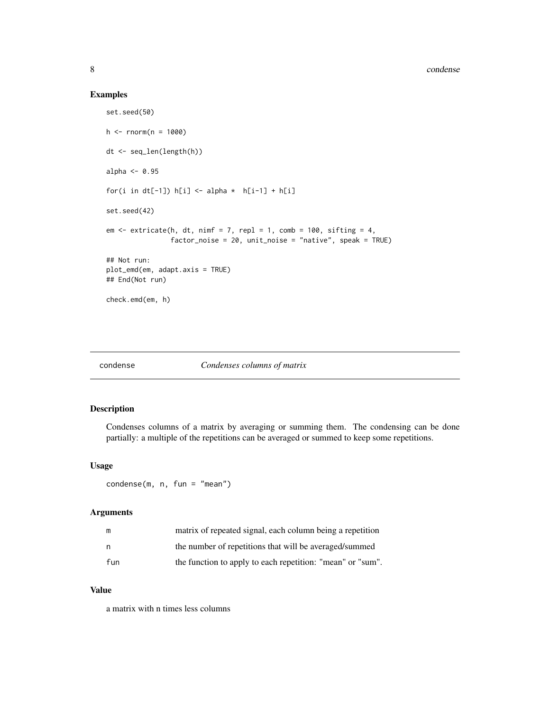## Examples

```
set.seed(50)
h <- rnorm(n = 1000)dt <- seq_len(length(h))
alpha <- 0.95
for(i in dt[-1]) h[i] <- alpha * h[i-1] + h[i]set.seed(42)
em \le extricate(h, dt, nimf = 7, repl = 1, comb = 100, sifting = 4,
                factor_noise = 20, unit_noise = "native", speak = TRUE)
## Not run:
plot_emd(em, adapt.axis = TRUE)
## End(Not run)
check.emd(em, h)
```
## condense *Condenses columns of matrix*

## Description

Condenses columns of a matrix by averaging or summing them. The condensing can be done partially: a multiple of the repetitions can be averaged or summed to keep some repetitions.

#### Usage

condense(m, n, fun = "mean")

#### Arguments

| m   | matrix of repeated signal, each column being a repetition  |
|-----|------------------------------------------------------------|
|     | the number of repetitions that will be averaged/summed     |
| fun | the function to apply to each repetition: "mean" or "sum". |

#### Value

a matrix with n times less columns

<span id="page-7-0"></span>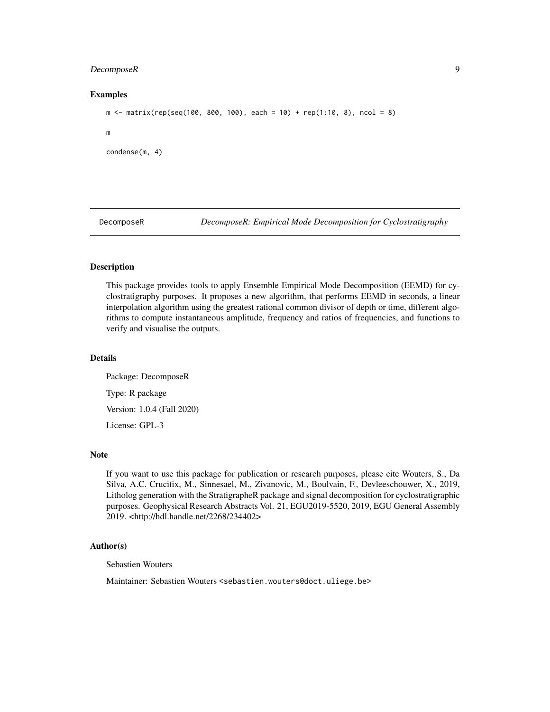## <span id="page-8-0"></span>DecomposeR 9

#### Examples

```
m \le - matrix(rep(seq(100, 800, 100), each = 10) + rep(1:10, 8), ncol = 8)
m
condense(m, 4)
```
DecomposeR *DecomposeR: Empirical Mode Decomposition for Cyclostratigraphy*

## **Description**

This package provides tools to apply Ensemble Empirical Mode Decomposition (EEMD) for cyclostratigraphy purposes. It proposes a new algorithm, that performs EEMD in seconds, a linear interpolation algorithm using the greatest rational common divisor of depth or time, different algorithms to compute instantaneous amplitude, frequency and ratios of frequencies, and functions to verify and visualise the outputs.

## Details

Package: DecomposeR Type: R package Version: 1.0.4 (Fall 2020) License: GPL-3

## Note

If you want to use this package for publication or research purposes, please cite Wouters, S., Da Silva, A.C. Crucifix, M., Sinnesael, M., Zivanovic, M., Boulvain, F., Devleeschouwer, X., 2019, Litholog generation with the StratigrapheR package and signal decomposition for cyclostratigraphic purposes. Geophysical Research Abstracts Vol. 21, EGU2019-5520, 2019, EGU General Assembly 2019. <http://hdl.handle.net/2268/234402>

## Author(s)

Sebastien Wouters

Maintainer: Sebastien Wouters <sebastien.wouters@doct.uliege.be>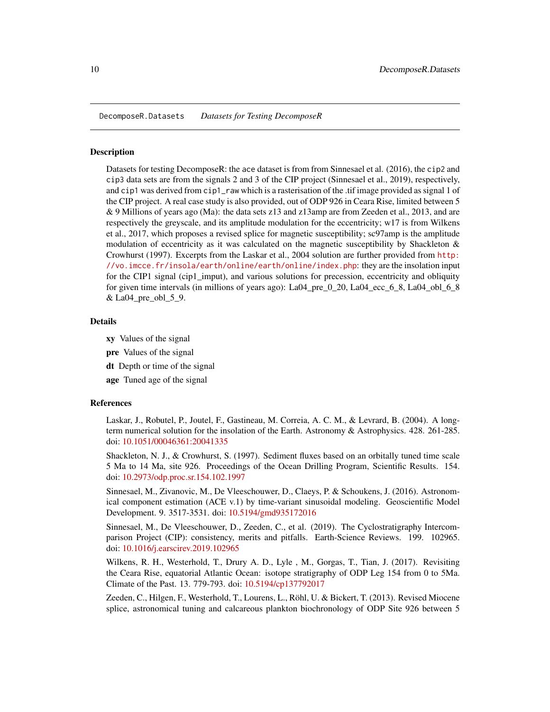<span id="page-9-0"></span>DecomposeR.Datasets *Datasets for Testing DecomposeR*

#### **Description**

Datasets for testing DecomposeR: the ace dataset is from from Sinnesael et al. (2016), the cip2 and cip3 data sets are from the signals 2 and 3 of the CIP project (Sinnesael et al., 2019), respectively, and cip1 was derived from cip1\_raw which is a rasterisation of the .tif image provided as signal 1 of the CIP project. A real case study is also provided, out of ODP 926 in Ceara Rise, limited between 5 & 9 Millions of years ago (Ma): the data sets z13 and z13amp are from Zeeden et al., 2013, and are respectively the greyscale, and its amplitude modulation for the eccentricity; w17 is from Wilkens et al., 2017, which proposes a revised splice for magnetic susceptibility; sc97amp is the amplitude modulation of eccentricity as it was calculated on the magnetic susceptibility by Shackleton  $\&$ Crowhurst (1997). Excerpts from the Laskar et al., 2004 solution are further provided from [http:](http://vo.imcce.fr/insola/earth/online/earth/online/index.php) [//vo.imcce.fr/insola/earth/online/earth/online/index.php](http://vo.imcce.fr/insola/earth/online/earth/online/index.php): they are the insolation input for the CIP1 signal (cip1\_imput), and various solutions for precession, eccentricity and obliquity for given time intervals (in millions of years ago):  $La04\_pre_0_20$ ,  $La04\_ecc_6_8$ ,  $La04\_obl_6_8$  $&$  La04 pre obl 5 9.

#### Details

- xy Values of the signal
- pre Values of the signal
- dt Depth or time of the signal
- age Tuned age of the signal

#### References

Laskar, J., Robutel, P., Joutel, F., Gastineau, M. Correia, A. C. M., & Levrard, B. (2004). A longterm numerical solution for the insolation of the Earth. Astronomy & Astrophysics. 428. 261-285. doi: [10.1051/00046361:20041335](https://doi.org/10.1051/0004-6361:20041335)

Shackleton, N. J., & Crowhurst, S. (1997). Sediment fluxes based on an orbitally tuned time scale 5 Ma to 14 Ma, site 926. Proceedings of the Ocean Drilling Program, Scientific Results. 154. doi: [10.2973/odp.proc.sr.154.102.1997](https://doi.org/10.2973/odp.proc.sr.154.102.1997)

Sinnesael, M., Zivanovic, M., De Vleeschouwer, D., Claeys, P. & Schoukens, J. (2016). Astronomical component estimation (ACE v.1) by time-variant sinusoidal modeling. Geoscientific Model Development. 9. 3517-3531. doi: [10.5194/gmd935172016](https://doi.org/10.5194/gmd-9-3517-2016)

Sinnesael, M., De Vleeschouwer, D., Zeeden, C., et al. (2019). The Cyclostratigraphy Intercomparison Project (CIP): consistency, merits and pitfalls. Earth-Science Reviews. 199. 102965. doi: [10.1016/j.earscirev.2019.102965](https://doi.org/10.1016/j.earscirev.2019.102965)

Wilkens, R. H., Westerhold, T., Drury A. D., Lyle , M., Gorgas, T., Tian, J. (2017). Revisiting the Ceara Rise, equatorial Atlantic Ocean: isotope stratigraphy of ODP Leg 154 from 0 to 5Ma. Climate of the Past. 13. 779-793. doi: [10.5194/cp137792017](https://doi.org/10.5194/cp-13-779-2017)

Zeeden, C., Hilgen, F., Westerhold, T., Lourens, L., Röhl, U. & Bickert, T. (2013). Revised Miocene splice, astronomical tuning and calcareous plankton biochronology of ODP Site 926 between 5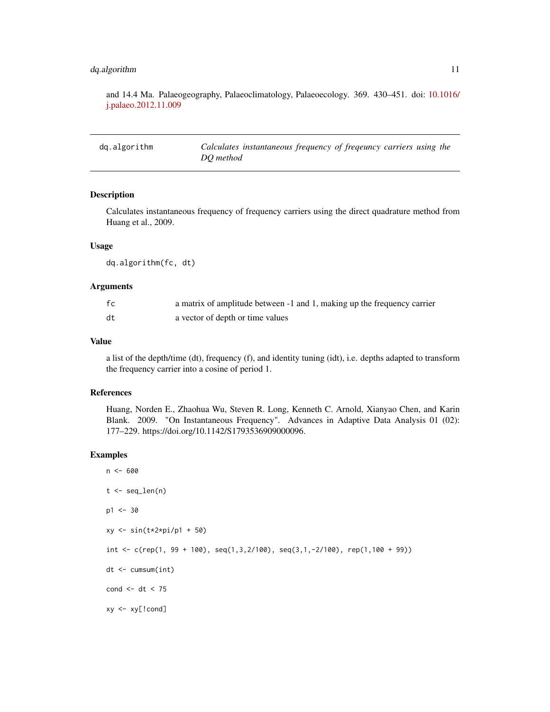## <span id="page-10-0"></span>dq.algorithm 11

and 14.4 Ma. Palaeogeography, Palaeoclimatology, Palaeoecology. 369. 430–451. doi: [10.1016/](https://doi.org/10.1016/j.palaeo.2012.11.009) [j.palaeo.2012.11.009](https://doi.org/10.1016/j.palaeo.2012.11.009)

| dq.algorithm | Calculates instantaneous frequency of freqeuncy carriers using the |  |
|--------------|--------------------------------------------------------------------|--|
|              | DO method                                                          |  |

#### Description

Calculates instantaneous frequency of frequency carriers using the direct quadrature method from Huang et al., 2009.

#### Usage

dq.algorithm(fc, dt)

#### Arguments

| fc | a matrix of amplitude between -1 and 1, making up the frequency carrier |
|----|-------------------------------------------------------------------------|
| dt | a vector of depth or time values                                        |

#### Value

a list of the depth/time (dt), frequency (f), and identity tuning (idt), i.e. depths adapted to transform the frequency carrier into a cosine of period 1.

#### References

Huang, Norden E., Zhaohua Wu, Steven R. Long, Kenneth C. Arnold, Xianyao Chen, and Karin Blank. 2009. "On Instantaneous Frequency". Advances in Adaptive Data Analysis 01 (02): 177–229. https://doi.org/10.1142/S1793536909000096.

```
n <- 600
t < - seq_len(n)
p1 <- 30
xy <- sin(t*2*pi/p1 + 50)
int <- c(rep(1, 99 + 100), seq(1,3,2/100), seq(3,1,-2/100), rep(1,100 + 99))
dt <- cumsum(int)
cond <- dt < 75
xy <- xy[!cond]
```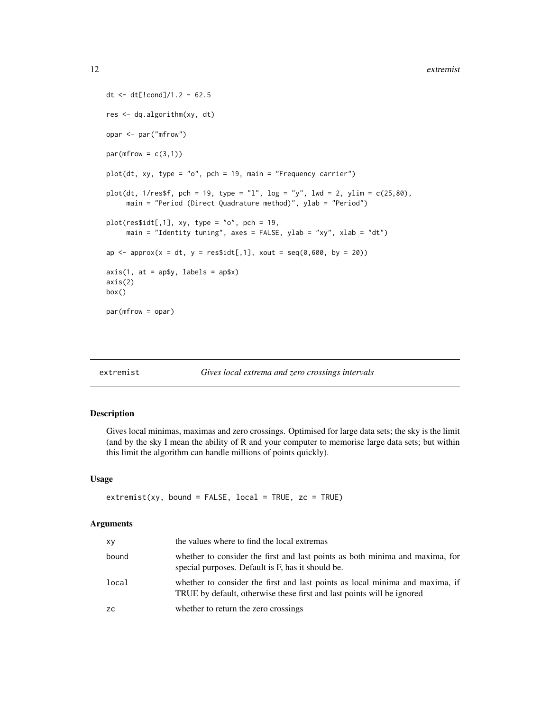```
dt <- dt[!cond]/1.2 - 62.5
res <- dq.algorithm(xy, dt)
opar <- par("mfrow")
par(mfrow = c(3,1))plot(dt, xy, type = "o", pch = 19, main = "Frequency carrier")
plot(dt, 1/res$f, pch = 19, type = "l", log = "y", lwd = 2, ylim = c(25,80),
     main = "Period (Direct Quadrature method)", ylab = "Period")
plot(res$idt[, 1], xy, type = "o", pch = 19,main = "Identity tuning", axes = FALSE, ylab = "xy", xlab = "dt")
ap \leq approx(x = dt, y = res$idt[,1], xout = seq(0,600, by = 20))
axis(1, at = ap\y, labels = ap\
axis(2)
box()
par(mfrow = opar)
```
## <span id="page-11-1"></span>extremist *Gives local extrema and zero crossings intervals*

#### Description

Gives local minimas, maximas and zero crossings. Optimised for large data sets; the sky is the limit (and by the sky I mean the ability of R and your computer to memorise large data sets; but within this limit the algorithm can handle millions of points quickly).

## Usage

```
extremist(xy, bound = FALSE, local = TRUE, zc = TRUE)
```

| xy    | the values where to find the local extremas                                                                                                            |
|-------|--------------------------------------------------------------------------------------------------------------------------------------------------------|
| bound | whether to consider the first and last points as both minima and maxima, for<br>special purposes. Default is F, has it should be.                      |
| local | whether to consider the first and last points as local minima and maxima, if<br>TRUE by default, otherwise these first and last points will be ignored |
| ZC.   | whether to return the zero crossings                                                                                                                   |

<span id="page-11-0"></span>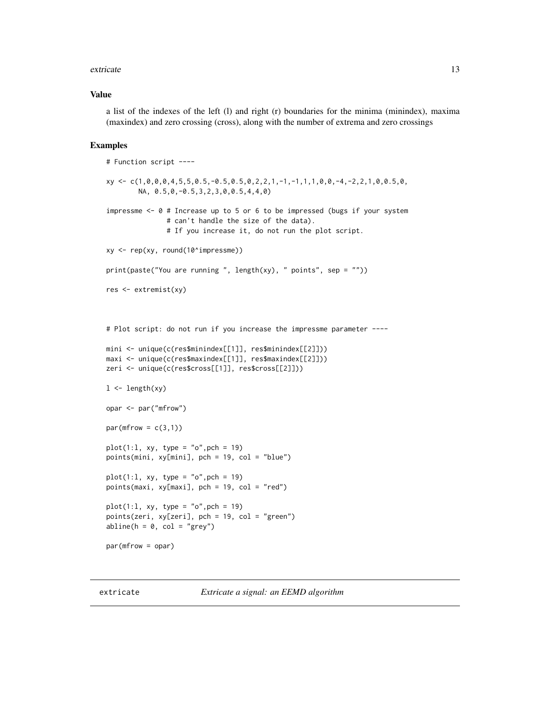#### <span id="page-12-0"></span>extricate and the state of the state of the state of the state of the state of the state of the state of the state of the state of the state of the state of the state of the state of the state of the state of the state of

#### Value

a list of the indexes of the left (l) and right (r) boundaries for the minima (minindex), maxima (maxindex) and zero crossing (cross), along with the number of extrema and zero crossings

#### Examples

```
# Function script ----
xy \leftarrow c(1,0,0,0,4,5,5,0.5,-0.5,0.5,0,2,2,1,-1,1,1,1,0,0,-4,-2,2,1,0,0.5,0,NA, 0.5,0,-0.5,3,2,3,0,0.5,4,4,0)
impressme <- 0 # Increase up to 5 or 6 to be impressed (bugs if your system
               # can't handle the size of the data).
               # If you increase it, do not run the plot script.
xy <- rep(xy, round(10^impressme))
print(paste("You are running", length(xy), " points", sep = ""))res <- extremist(xy)
# Plot script: do not run if you increase the impressme parameter ----
mini <- unique(c(res$minindex[[1]], res$minindex[[2]]))
maxi <- unique(c(res$maxindex[[1]], res$maxindex[[2]]))
zeri <- unique(c(res$cross[[1]], res$cross[[2]]))
1 \leftarrow length(xy)
opar <- par("mfrow")
par(mfrow = c(3,1))plot(1:1, xy, type = "o", pch = 19)points(mini, xy[mini], pch = 19, col = "blue")
plot(1:1, xy, type = "o", pch = 19)points(maxi, xy[maxi], pch = 19, col = "red")
plot(1:1, xy, type = "o", pch = 19)points(zeri, xy[zeri], pch = 19, col = "green")
abline(h = 0, col = "grey")par(mfrow = opar)
```
extricate *Extricate a signal: an EEMD algorithm*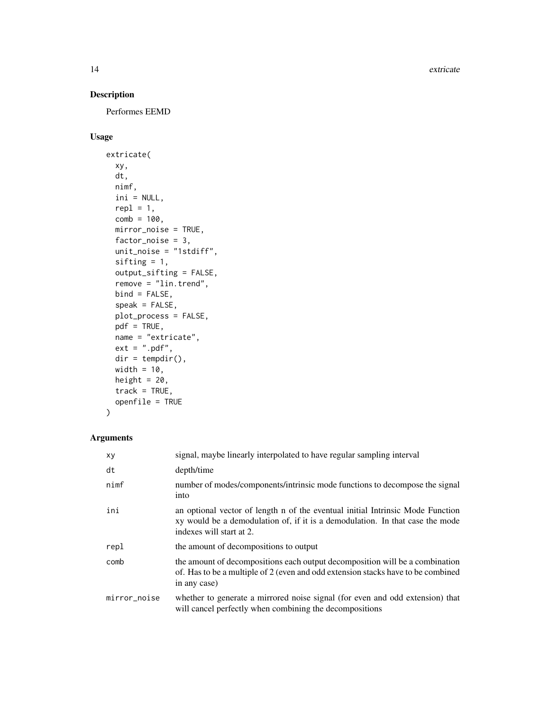14 extricate extraordinate and the set of the set of the set of the set of the set of the set of the set of the set of the set of the set of the set of the set of the set of the set of the set of the set of the set of the

## Description

Performes EEMD

## Usage

```
extricate(
  xy,
 dt,
 nimf,
  ini = NULL,
  repl = 1,
 comb = 100,mirror_noise = TRUE,
 factor_noise = 3,
  unit_noise = "1stdiff",
  sifting = 1,
  output_sifting = FALSE,
  remove = "lin.trend",
 bind = FALSE,speak = FALSE,
 plot_process = FALSE,
 pdf = TRUE,name = "extricate",
 ext = ".pdf",
 dir = tempdir(),width = 10,
 height = 20,
  track = TRUE,openfile = TRUE
\mathcal{L}
```

| xy           | signal, maybe linearly interpolated to have regular sampling interval                                                                                                                       |
|--------------|---------------------------------------------------------------------------------------------------------------------------------------------------------------------------------------------|
| dt           | depth/time                                                                                                                                                                                  |
| nimf         | number of modes/components/intrinsic mode functions to decompose the signal<br>into                                                                                                         |
| ini          | an optional vector of length n of the eventual initial Intrinsic Mode Function<br>xy would be a demodulation of, if it is a demodulation. In that case the mode<br>indexes will start at 2. |
| repl         | the amount of decompositions to output                                                                                                                                                      |
| comb         | the amount of decompositions each output decomposition will be a combination<br>of. Has to be a multiple of 2 (even and odd extension stacks have to be combined<br>in any case)            |
| mirror_noise | whether to generate a mirrored noise signal (for even and odd extension) that<br>will cancel perfectly when combining the decompositions                                                    |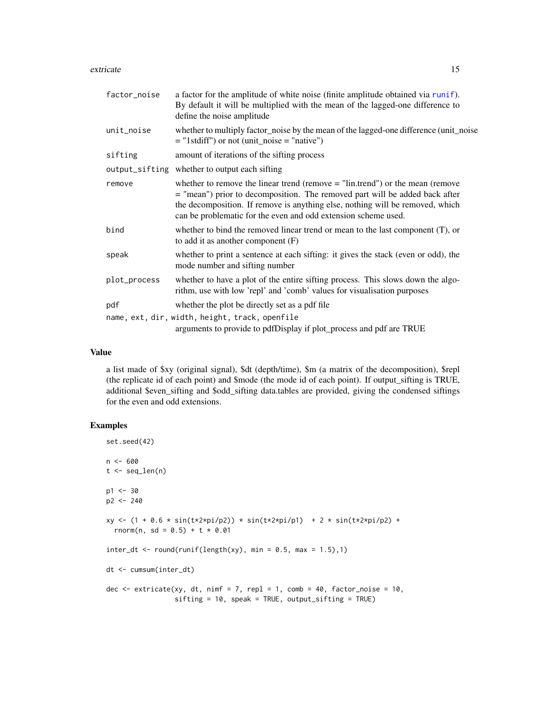#### <span id="page-14-0"></span>extricate the control of the control of the control of the control of the control of the control of the control of the control of the control of the control of the control of the control of the control of the control of th

| factor_noise | a factor for the amplitude of white noise (finite amplitude obtained via runif).<br>By default it will be multiplied with the mean of the lagged-one difference to<br>define the noise amplitude                                                                                                                  |
|--------------|-------------------------------------------------------------------------------------------------------------------------------------------------------------------------------------------------------------------------------------------------------------------------------------------------------------------|
| unit_noise   | whether to multiply factor_noise by the mean of the lagged-one difference (unit_noise<br>$=$ "1stdiff") or not (unit_noise = "native")                                                                                                                                                                            |
| sifting      | amount of iterations of the sifting process                                                                                                                                                                                                                                                                       |
|              | output_sifting whether to output each sifting                                                                                                                                                                                                                                                                     |
| remove       | whether to remove the linear trend (remove $=$ "lin.trend") or the mean (remove<br>= "mean") prior to decomposition. The removed part will be added back after<br>the decomposition. If remove is anything else, nothing will be removed, which<br>can be problematic for the even and odd extension scheme used. |
| bind         | whether to bind the removed linear trend or mean to the last component $(T)$ , or<br>to add it as another component $(F)$                                                                                                                                                                                         |
| speak        | whether to print a sentence at each sifting: it gives the stack (even or odd), the<br>mode number and sifting number                                                                                                                                                                                              |
| plot_process | whether to have a plot of the entire sifting process. This slows down the algo-<br>rithm, use with low 'repl' and 'comb' values for visualisation purposes                                                                                                                                                        |
| pdf          | whether the plot be directly set as a pdf file                                                                                                                                                                                                                                                                    |
|              | name, ext, dir, width, height, track, openfile                                                                                                                                                                                                                                                                    |
|              | arguments to provide to pdfDisplay if plot_process and pdf are TRUE                                                                                                                                                                                                                                               |

## Value

a list made of \$xy (original signal), \$dt (depth/time), \$m (a matrix of the decomposition), \$repl (the replicate id of each point) and \$mode (the mode id of each point). If output\_sifting is TRUE, additional \$even\_sifting and \$odd\_sifting data.tables are provided, giving the condensed siftings for the even and odd extensions.

```
set.seed(42)
n < - 600t < - seq_len(n)
p1 < -30p2 <- 240
xy <- (1 + 0.6 * sin(t*2*pi/p2)) * sin(t*2*pi/p1) + 2 * sin(t*2*pi/p2) +
  rnorm(n, sd = 0.5) + t * 0.01
inter_dt \leq round(runif(length(xy), min = 0.5, max = 1.5),1)dt <- cumsum(inter_dt)
dec \le extricate(xy, dt, nimf = 7, repl = 1, comb = 40, factor_noise = 10,
                 sifting = 10, speak = TRUE, output_sifting = TRUE)
```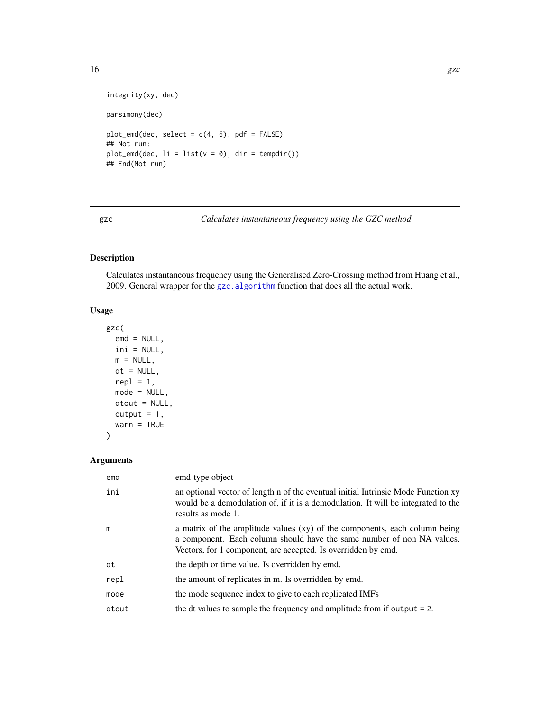```
integrity(xy, dec)
parsimony(dec)
plot\_emd(dec, select = c(4, 6), pdf = FALSE)## Not run:
plot_emd(dec, li = list(v = 0), dir = tempdir())
## End(Not run)
```
<span id="page-15-1"></span>gzc *Calculates instantaneous frequency using the GZC method*

## Description

Calculates instantaneous frequency using the Generalised Zero-Crossing method from Huang et al., 2009. General wrapper for the [gzc.algorithm](#page-17-1) function that does all the actual work.

## Usage

```
gzc(
  emd = NULL,ini = NULL,
 m = NULL,dt = NULL,repl = 1,
 mode = NULL,dtout = NULL,output = 1,
 warn = TRUE
)
```

| emd   | emd-type object                                                                                                                                                                                                       |
|-------|-----------------------------------------------------------------------------------------------------------------------------------------------------------------------------------------------------------------------|
| ini   | an optional vector of length n of the eventual initial Intrinsic Mode Function xy<br>would be a demodulation of, if it is a demodulation. It will be integrated to the<br>results as mode 1.                          |
| m     | a matrix of the amplitude values (xy) of the components, each column being<br>a component. Each column should have the same number of non NA values.<br>Vectors, for 1 component, are accepted. Is overridden by emd. |
| dt    | the depth or time value. Is overridden by emd.                                                                                                                                                                        |
| repl  | the amount of replicates in m. Is overridden by emd.                                                                                                                                                                  |
| mode  | the mode sequence index to give to each replicated IMFs                                                                                                                                                               |
| dtout | the dt values to sample the frequency and amplitude from if output $= 2$ .                                                                                                                                            |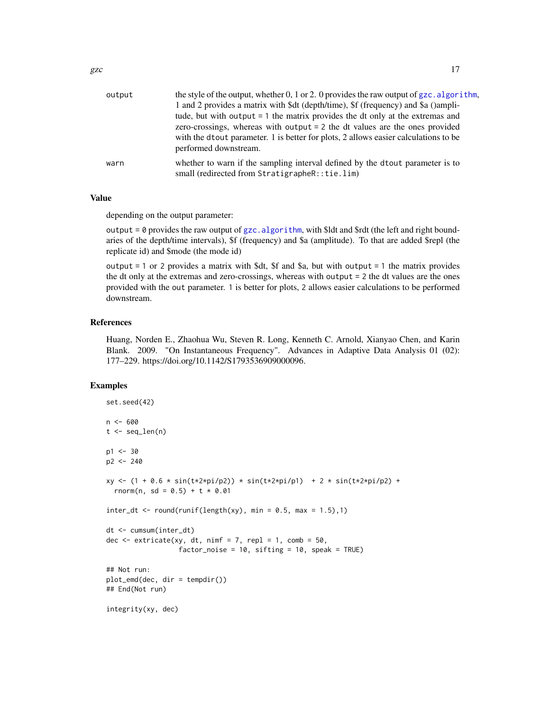<span id="page-16-0"></span>

| output | the style of the output, whether 0, 1 or 2. 0 provides the raw output of $gzc$ . algorithm,                                     |  |  |  |
|--------|---------------------------------------------------------------------------------------------------------------------------------|--|--|--|
|        | 1 and 2 provides a matrix with \$dt (depth/time), \$f (frequency) and \$a ()ampli-                                              |  |  |  |
|        | tude, but with output = 1 the matrix provides the dt only at the extremas and                                                   |  |  |  |
|        | zero-crossings, whereas with output = 2 the dt values are the ones provided                                                     |  |  |  |
|        | with the dtout parameter. 1 is better for plots, 2 allows easier calculations to be<br>performed downstream.                    |  |  |  |
|        |                                                                                                                                 |  |  |  |
| warn   | whether to warn if the sampling interval defined by the drout parameter is to<br>small (redirected from StratigrapheR::tie.lim) |  |  |  |

## Value

depending on the output parameter:

output = 0 provides the raw output of  $gzc$ . algorithm, with \$ldt and \$rdt (the left and right boundaries of the depth/time intervals), \$f (frequency) and \$a (amplitude). To that are added \$repl (the replicate id) and \$mode (the mode id)

output  $= 1$  or 2 provides a matrix with \$dt, \$f and \$a, but with output  $= 1$  the matrix provides the dt only at the extremas and zero-crossings, whereas with output = 2 the dt values are the ones provided with the out parameter. 1 is better for plots, 2 allows easier calculations to be performed downstream.

#### References

Huang, Norden E., Zhaohua Wu, Steven R. Long, Kenneth C. Arnold, Xianyao Chen, and Karin Blank. 2009. "On Instantaneous Frequency". Advances in Adaptive Data Analysis 01 (02): 177–229. https://doi.org/10.1142/S1793536909000096.

```
set.seed(42)
n < -600t \leq -\text{seq\_len}(n)p1 < -30p2 <- 240
xy \leftarrow (1 + 0.6 * sin(t \times 2 \times pi/p2)) * sin(t \times 2 \times pi/p1) + 2 * sin(t \times 2 \times pi/p2) +rnorm(n, sd = 0.5) + t * 0.01
inter_d t \leq round(runif(length(xy), min = 0.5, max = 1.5), 1)dt <- cumsum(inter_dt)
dec \le extricate(xy, dt, nimf = 7, repl = 1, comb = 50,
                     factor_noise = 10, sifting = 10, speak = TRUE)
## Not run:
plot_emd(dec, dir = tempdir())
## End(Not run)
integrity(xy, dec)
```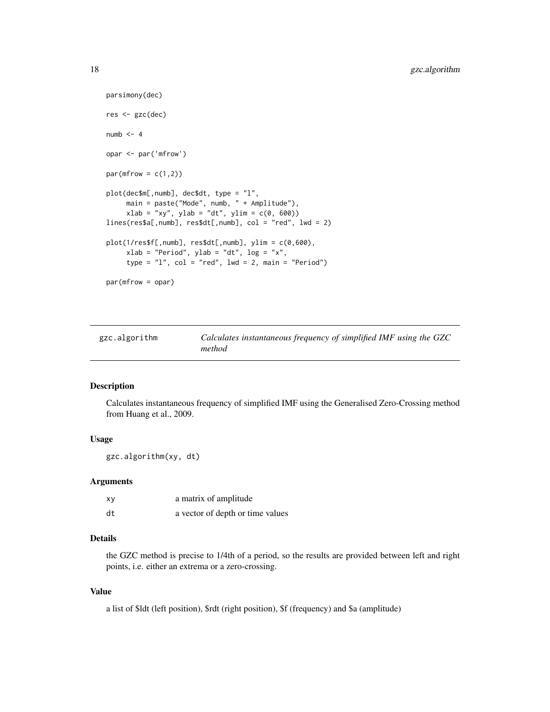```
parsimony(dec)
res <- gzc(dec)
numb \leq -4opar <- par('mfrow')
par(mfrow = c(1,2))plot(dec$m[,numb], dec$dt, type = "l",
     main = paste("Mode", numb, " + Amplitude"),
     xlab = "xy", ylab = "dt", ylim = c(0, 600))lines(res$a[,numb], res$dt[,numb], col = "red", lwd = 2)
plot(1/res$f[,numb], res$dt[,numb], ylim = c(0,600),
     xlab = "Period", ylab = "dt", log = "x",
     type = "1", col = "red", lwd = 2, main = "Period")
par(mfrow = opar)
```
<span id="page-17-1"></span>

| gzc.algorithm | Calculates instantaneous frequency of simplified IMF using the GZC |
|---------------|--------------------------------------------------------------------|
|               | method                                                             |

#### Description

Calculates instantaneous frequency of simplified IMF using the Generalised Zero-Crossing method from Huang et al., 2009.

## Usage

gzc.algorithm(xy, dt)

#### Arguments

| xγ | a matrix of amplitude            |
|----|----------------------------------|
| dt | a vector of depth or time values |

## Details

the GZC method is precise to 1/4th of a period, so the results are provided between left and right points, i.e. either an extrema or a zero-crossing.

## Value

a list of \$ldt (left position), \$rdt (right position), \$f (frequency) and \$a (amplitude)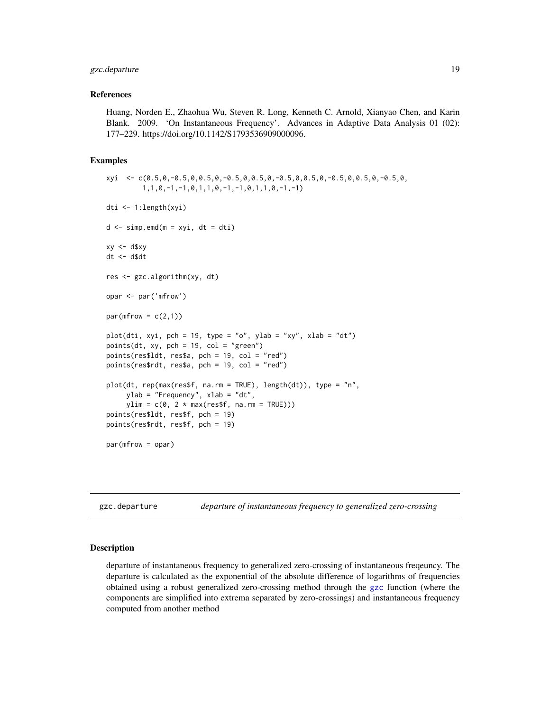## <span id="page-18-0"></span>gzc.departure 19

#### References

Huang, Norden E., Zhaohua Wu, Steven R. Long, Kenneth C. Arnold, Xianyao Chen, and Karin Blank. 2009. 'On Instantaneous Frequency'. Advances in Adaptive Data Analysis 01 (02): 177–229. https://doi.org/10.1142/S1793536909000096.

#### Examples

```
xyi \leq c(0.5, 0, -0.5, 0, 0.5, 0, -0.5, 0, 0.5, 0, -0.5, 0, 0.5, 0, -0.5, 0, -0.5, 0, -0.5, 0, -0.5, 0, -0.5, 0, -0.5, 0, -0.5, 0, -0.5, 0, -0.5, 0, -0.5, 0, -0.5, 0, -0.5, 0, -0.5, 0, -0.5, 0, -0.5, 0, -0.5, 0, -0.5, 0, -0.5, 0, -0.5, 0, -0.5, 1,1,0,-1,-1,0,1,1,0,-1,-1,0,1,1,0,-1,-1)
dti <- 1:length(xyi)
d \le -\sin p. emd(m = xyi, dt = dti)
xy \le -d$xy
dt <- d$dt
res <- gzc.algorithm(xy, dt)
opar <- par('mfrow')
par(mfrow = c(2,1))plot(dti, xyi, pch = 19, type = "o", ylab = "xy", xlab = "dt")
points(dt, xy, pch = 19, col = "green")
points(res$ldt, res$a, pch = 19, col = "red")
points(res$rdt, res$a, pch = 19, col = "red")
plot(dt, rep(max(res$f, na.rm = TRUE), length(dt)), type = "n",
      ylab = "Frequency", xlab = "dt",
      ylim = c(0, 2 * max(resff, na.rm = TRUE)))points(res$ldt, res$f, pch = 19)
points(res$rdt, res$f, pch = 19)
par(mfrow = opar)
```
gzc.departure *departure of instantaneous frequency to generalized zero-crossing*

#### Description

departure of instantaneous frequency to generalized zero-crossing of instantaneous freqeuncy. The departure is calculated as the exponential of the absolute difference of logarithms of frequencies obtained using a robust generalized zero-crossing method through the [gzc](#page-15-1) function (where the components are simplified into extrema separated by zero-crossings) and instantaneous frequency computed from another method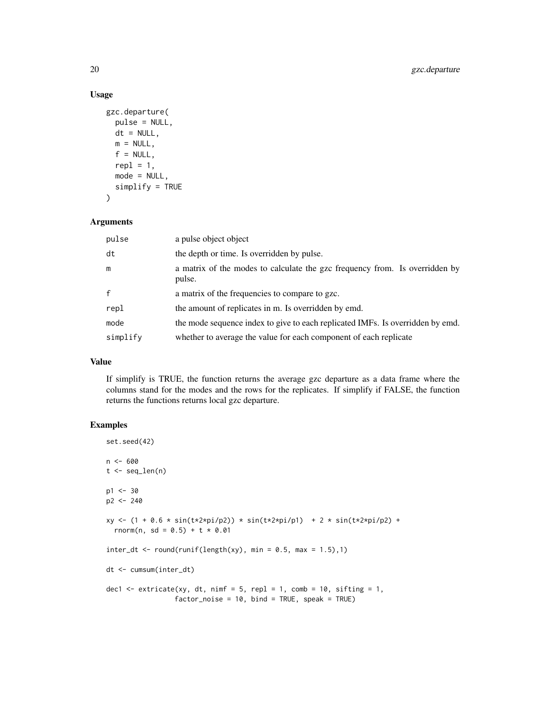## Usage

```
gzc.departure(
 pulse = NULL,
 dt = NULL,m = NULL,f = NULL,
  repl = 1,
 mode = NULL,
  simplify = TRUE
)
```
#### Arguments

| pulse        | a pulse object object                                                                 |  |  |
|--------------|---------------------------------------------------------------------------------------|--|--|
| dt           | the depth or time. Is overridden by pulse.                                            |  |  |
| m            | a matrix of the modes to calculate the gzc frequency from. Is overridden by<br>pulse. |  |  |
| $\mathbf{f}$ | a matrix of the frequencies to compare to gzc.                                        |  |  |
| repl         | the amount of replicates in m. Is overridden by emd.                                  |  |  |
| mode         | the mode sequence index to give to each replicated IMFs. Is overridden by emd.        |  |  |
| simplify     | whether to average the value for each component of each replicate                     |  |  |

## Value

If simplify is TRUE, the function returns the average gzc departure as a data frame where the columns stand for the modes and the rows for the replicates. If simplify if FALSE, the function returns the functions returns local gzc departure.

```
set.seed(42)
n < - 600t < - seq_len(n)
p1 < -30p2 <- 240
xy <- (1 + 0.6 * sin(t*2*pi/p2)) * sin(t*2*pi/p1) + 2 * sin(t*2*pi/p2) +
  rnorm(n, sd = 0.5) + t * 0.01
inter_dt \leq round(runif(length(xy), min = 0.5, max = 1.5),1)dt <- cumsum(inter_dt)
dec1 \le extricate(xy, dt, nimf = 5, repl = 1, comb = 10, sifting = 1,
                 factor\_noise = 10, bind = TRUE, speak = TRUE)
```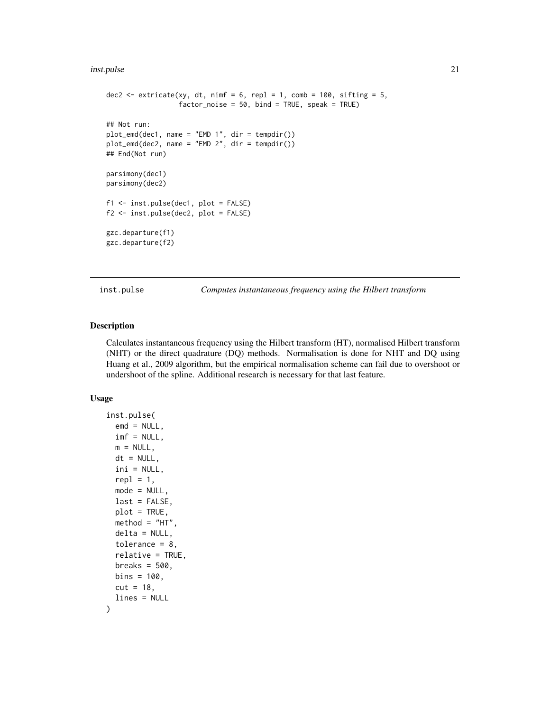#### <span id="page-20-0"></span>inst.pulse 21

```
dec2 \leq extricate(xy, dt, nimf = 6, repl = 1, comb = 100, sifting = 5,
                  factor_noise = 50, bind = TRUE, speak = TRUE)
## Not run:
plot_emd(dec1, name = "EMD 1", dir = tempdir())
plot_emd(dec2, name = "EMD 2", dir = tempdir())
## End(Not run)
parsimony(dec1)
parsimony(dec2)
f1 <- inst.pulse(dec1, plot = FALSE)
f2 <- inst.pulse(dec2, plot = FALSE)
gzc.departure(f1)
gzc.departure(f2)
```
<span id="page-20-1"></span>inst.pulse *Computes instantaneous frequency using the Hilbert transform*

## Description

Calculates instantaneous frequency using the Hilbert transform (HT), normalised Hilbert transform (NHT) or the direct quadrature (DQ) methods. Normalisation is done for NHT and DQ using Huang et al., 2009 algorithm, but the empirical normalisation scheme can fail due to overshoot or undershoot of the spline. Additional research is necessary for that last feature.

## Usage

```
inst.pulse(
  emd = NULL,imf = NULL,m = NULL,dt = NULL,ini = NULL,
  rep1 = 1,
 mode = NULL,
  last = FALSE,
  plot = TRUE,
 method = "HT",delta = NULL,tolerance = 8,
  relative = TRUE,
 breaks = 500,
 bins = 100.
  cut = 18,
  lines = NULL
)
```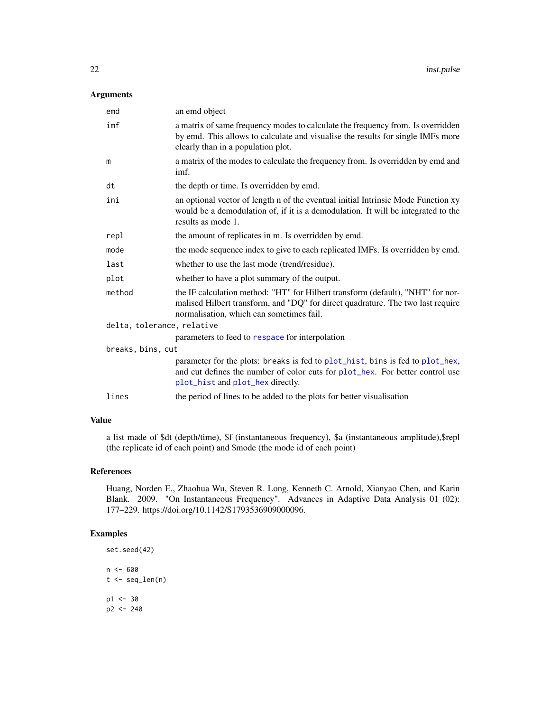#### <span id="page-21-0"></span>Arguments

| emd                        | an emd object                                                                                                                                                                                                  |  |  |
|----------------------------|----------------------------------------------------------------------------------------------------------------------------------------------------------------------------------------------------------------|--|--|
| imf                        | a matrix of same frequency modes to calculate the frequency from. Is overridden<br>by emd. This allows to calculate and visualise the results for single IMFs more<br>clearly than in a population plot.       |  |  |
| m                          | a matrix of the modes to calculate the frequency from. Is overridden by emd and<br>imf.                                                                                                                        |  |  |
| dt                         | the depth or time. Is overridden by emd.                                                                                                                                                                       |  |  |
| ini                        | an optional vector of length n of the eventual initial Intrinsic Mode Function xy<br>would be a demodulation of, if it is a demodulation. It will be integrated to the<br>results as mode 1.                   |  |  |
| repl                       | the amount of replicates in m. Is overridden by emd.                                                                                                                                                           |  |  |
| mode                       | the mode sequence index to give to each replicated IMFs. Is overridden by emd.                                                                                                                                 |  |  |
| last                       | whether to use the last mode (trend/residue).                                                                                                                                                                  |  |  |
| plot                       | whether to have a plot summary of the output.                                                                                                                                                                  |  |  |
| method                     | the IF calculation method: "HT" for Hilbert transform (default), "NHT" for nor-<br>malised Hilbert transform, and "DQ" for direct quadrature. The two last require<br>normalisation, which can sometimes fail. |  |  |
| delta, tolerance, relative |                                                                                                                                                                                                                |  |  |
|                            | parameters to feed to respace for interpolation                                                                                                                                                                |  |  |
| breaks, bins, cut          |                                                                                                                                                                                                                |  |  |
|                            | parameter for the plots: breaks is fed to plot_hist, bins is fed to plot_hex,<br>and cut defines the number of color cuts for plot_hex. For better control use<br>plot_hist and plot_hex directly.             |  |  |
| lines                      | the period of lines to be added to the plots for better visualization                                                                                                                                          |  |  |
|                            |                                                                                                                                                                                                                |  |  |

## Value

a list made of \$dt (depth/time), \$f (instantaneous frequency), \$a (instantaneous amplitude),\$repl (the replicate id of each point) and \$mode (the mode id of each point)

## References

Huang, Norden E., Zhaohua Wu, Steven R. Long, Kenneth C. Arnold, Xianyao Chen, and Karin Blank. 2009. "On Instantaneous Frequency". Advances in Adaptive Data Analysis 01 (02): 177–229. https://doi.org/10.1142/S1793536909000096.

```
set.seed(42)
n <- 600
t < - seq_len(n)
p1 <- 30
p2 <- 240
```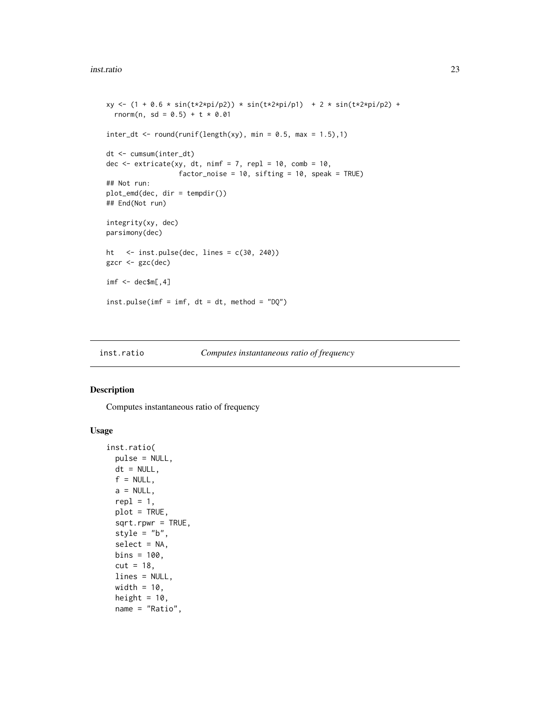```
xy \leftarrow (1 + 0.6 * sin(t \times 2 \times pi/p2)) * sin(t \times 2 \times pi/p1) + 2 * sin(t \times 2 \times pi/p2) +rnorm(n, sd = 0.5) + t * 0.01
inter_dt <- round(runif(length(xy), min = 0.5, max = 1.5),1)
dt <- cumsum(inter_dt)
dec \le extricate(xy, dt, nimf = 7, repl = 10, comb = 10,
                   factor_noise = 10, sifting = 10, speak = TRUE)
## Not run:
plot_emd(dec, dir = tempdir())
## End(Not run)
integrity(xy, dec)
parsimony(dec)
ht <- inst.pulse(dec, lines = c(30, 240))
gzcr <- gzc(dec)
imf < - dec$m[,4]
inst.pulse(imf = imf, dt = dt, method = "DQ")
```
<span id="page-22-1"></span>

```
inst.ratio Computes instantaneous ratio of frequency
```
## Description

Computes instantaneous ratio of frequency

## Usage

```
inst.ratio(
 pulse = NULL,
 dt = NULL,f = NULL,a = NULL,repl = 1,
 plot = TRUE,
 sqrt.rpwr = TRUE,
 style = "b",select = NA,
 bins = 100.
 cut = 18,
 lines = NULL,
 width = 10,
 height = 10,
 name = "Ratio",
```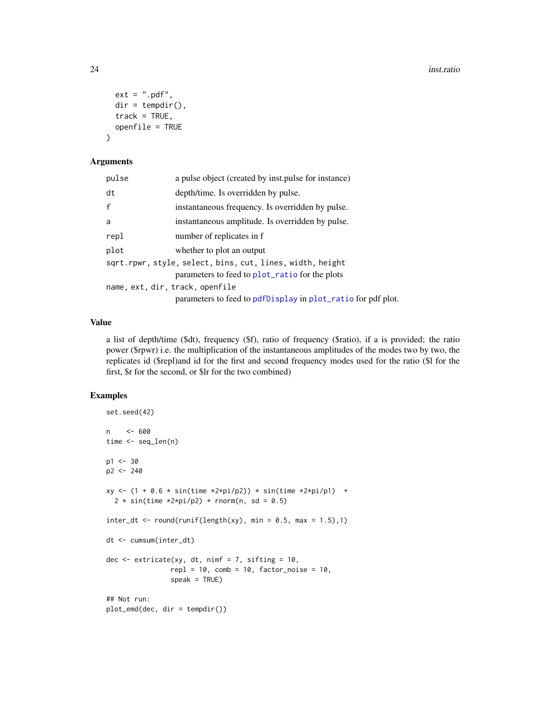```
ext = ".pdf;
 dir = tempdir(),track = TRUE,openfile = TRUE
)
```
#### Arguments

| pulse                           | a pulse object (created by inst. pulse for instance)                                                        |
|---------------------------------|-------------------------------------------------------------------------------------------------------------|
| dt                              | depth/time. Is overridden by pulse.                                                                         |
| $\mathsf{f}$                    | instantaneous frequency. Is overridden by pulse.                                                            |
| a                               | instantaneous amplitude. Is overridden by pulse.                                                            |
| repl                            | number of replicates in f                                                                                   |
| plot                            | whether to plot an output                                                                                   |
|                                 | sqrt.rpwr, style, select, bins, cut, lines, width, height<br>parameters to feed to plot_ratio for the plots |
| name, ext, dir, track, openfile | parameters to feed to pdfDisplay in plot_ratio for pdf plot.                                                |
|                                 |                                                                                                             |

#### Value

a list of depth/time (\$dt), frequency (\$f), ratio of frequency (\$ratio), if a is provided; the ratio power (\$rpwr) i.e. the multiplication of the instantaneous amplitudes of the modes two by two, the replicates id (\$repl)and id for the first and second frequency modes used for the ratio (\$l for the first, \$r for the second, or \$lr for the two combined)

```
set.seed(42)
n <- 600
time <- seq_len(n)
p1 < -30p2 <- 240
xy \le -(1 + 0.6 * sin(time *2*pi/p2)) * sin(time *2*pi/p1) +2 * sin(time *2*pi/p2) + rnorm(n, sd = 0.5)inter_dt \leftarrow round(runif(length(xy), min = 0.5, max = 1.5),1)dt <- cumsum(inter_dt)
dec \leq extricate(xy, dt, nimf = 7, sifting = 10,
                repl = 10, comb = 10, factor\_noise = 10,
                speak = TRUE)
## Not run:
plot_emd(dec, dir = tempdir())
```
<span id="page-23-0"></span>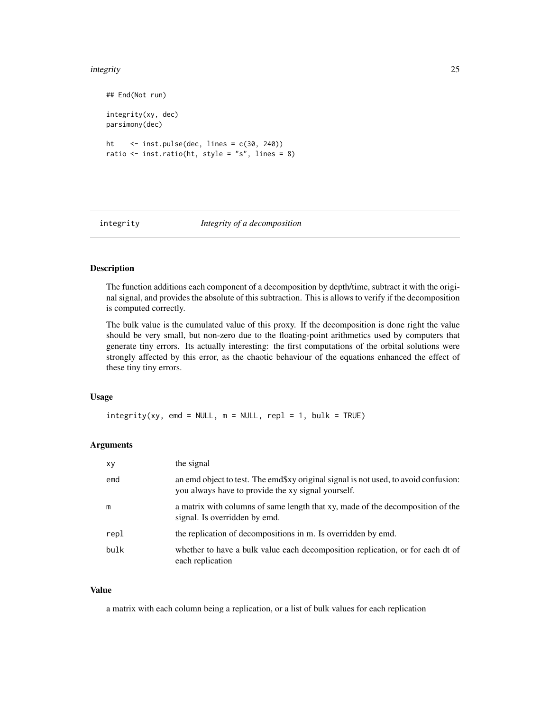#### <span id="page-24-0"></span>integrity 25

```
## End(Not run)
integrity(xy, dec)
parsimony(dec)
ht <- inst.pulse(dec, lines = c(30, 240))
ratio \le inst.ratio(ht, style = "s", lines = 8)
```
## integrity *Integrity of a decomposition*

#### Description

The function additions each component of a decomposition by depth/time, subtract it with the original signal, and provides the absolute of this subtraction. This is allows to verify if the decomposition is computed correctly.

The bulk value is the cumulated value of this proxy. If the decomposition is done right the value should be very small, but non-zero due to the floating-point arithmetics used by computers that generate tiny errors. Its actually interesting: the first computations of the orbital solutions were strongly affected by this error, as the chaotic behaviour of the equations enhanced the effect of these tiny tiny errors.

## Usage

 $integrity(xy, emd = NULL, m = NULL, repl = 1, bulk = TRUE)$ 

## Arguments

| xy   | the signal                                                                                                                                |
|------|-------------------------------------------------------------------------------------------------------------------------------------------|
| emd  | an emd object to test. The emd\$xy original signal is not used, to avoid confusion:<br>you always have to provide the xy signal yourself. |
| m    | a matrix with columns of same length that xy, made of the decomposition of the<br>signal. Is overridden by emd.                           |
| repl | the replication of decompositions in m. Is overridden by emd.                                                                             |
| bulk | whether to have a bulk value each decomposition replication, or for each dt of<br>each replication                                        |

## Value

a matrix with each column being a replication, or a list of bulk values for each replication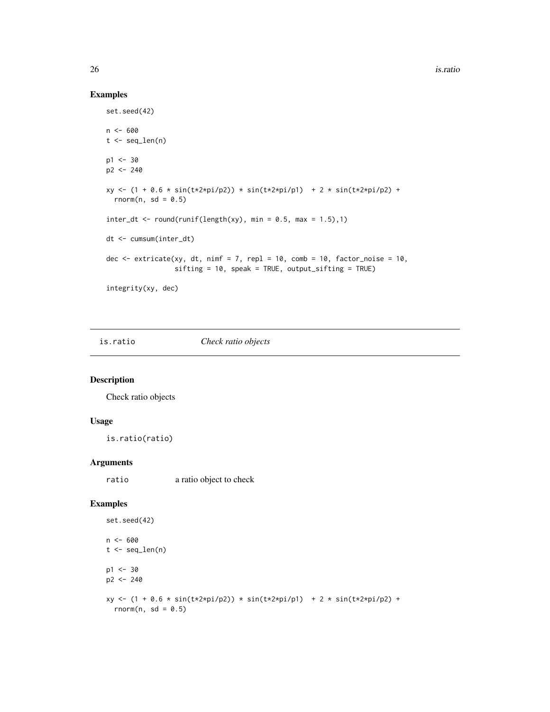## Examples

```
set.seed(42)
n < - 600t < - seq_len(n)
p1 < -30p2 <- 240
xy \leftarrow (1 + 0.6 * sin(t \times 2 \times pi/p2)) * sin(t \times 2 \times pi/p1) + 2 * sin(t \times 2 \times pi/p2) +rnorm(n, sd = 0.5)
inter_dt \leftarrow round(runif(length(xy), min = 0.5, max = 1.5),1)dt <- cumsum(inter_dt)
dec \le extricate(xy, dt, nimf = 7, repl = 10, comb = 10, factor_noise = 10,
                   sifting = 10, speak = TRUE, output_sifting = TRUE)
integrity(xy, dec)
```
is.ratio *Check ratio objects*

## Description

Check ratio objects

## Usage

is.ratio(ratio)

#### Arguments

ratio a ratio object to check

```
set.seed(42)
n < - 600t < - seq_len(n)
p1 < -30p2 <- 240
xy \leftarrow (1 + 0.6 * sin(t \times 2 \times pi/p2)) * sin(t \times 2 \times pi/p1) + 2 * sin(t \times 2 \times pi/p2) +rnorm(n, sd = 0.5)
```
<span id="page-25-0"></span>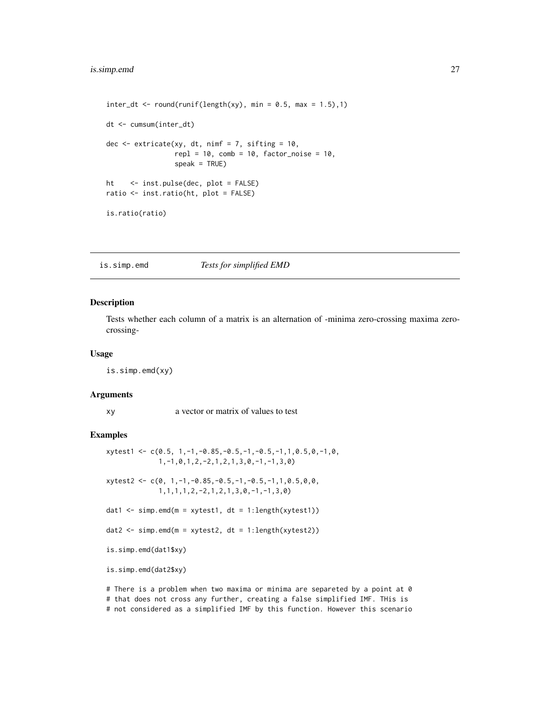```
inter_dt \leq round(runif(length(xy), min = 0.5, max = 1.5),1)dt <- cumsum(inter_dt)
dec \leq extricate(xy, dt, nimf = 7, sifting = 10,
                 rep1 = 10, comb = 10, factor\_noise = 10,
                 speak = TRUE)
ht <- inst.pulse(dec, plot = FALSE)
ratio <- inst.ratio(ht, plot = FALSE)
is.ratio(ratio)
```
is.simp.emd *Tests for simplified EMD*

#### Description

Tests whether each column of a matrix is an alternation of -minima zero-crossing maxima zerocrossing-

#### Usage

is.simp.emd(xy)

#### **Arguments**

xy a vector or matrix of values to test

## Examples

```
xytest1 \leq c(0.5, 1, -1, -0.85, -0.5, -1, -0.5, -1, 1, 0.5, 0, -1, 0,1,-1,0,1,2,-2,1,2,1,3,0,-1,-1,3,0)
xytest2 < -c(0, 1, -1, -0.85, -0.5, -1, -0.5, -1, 1, 0.5, 0, 0,1,1,1,1,2,-2,1,2,1,3,0,-1,-1,3,0)
dat1 \le simp.emd(m = xytest1, dt = 1:length(xytest1))
dat2 <- simp.emd(m = xytest2, dt = 1:length(xytest2))
is.simp.emd(dat1$xy)
is.simp.emd(dat2$xy)
```
# There is a problem when two maxima or minima are separeted by a point at 0 # that does not cross any further, creating a false simplified IMF. THis is # not considered as a simplified IMF by this function. However this scenario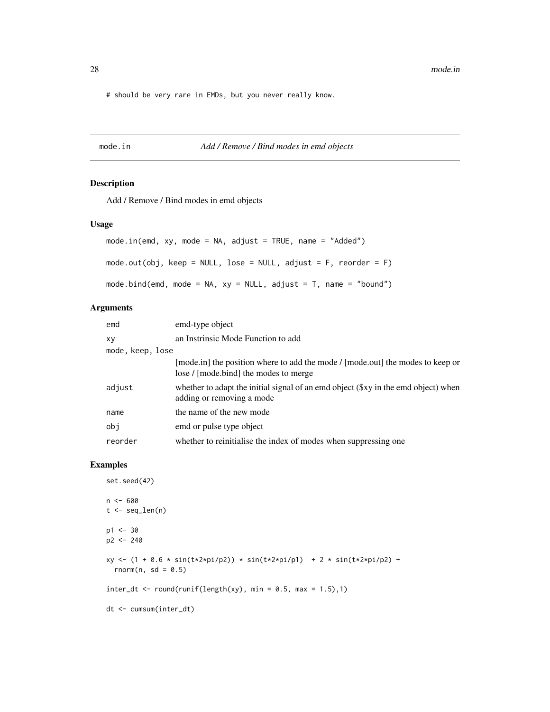<span id="page-27-0"></span># should be very rare in EMDs, but you never really know.

#### mode.in *Add / Remove / Bind modes in emd objects*

## Description

Add / Remove / Bind modes in emd objects

#### Usage

```
mode.in(emd, xy, mode = NA, adjust = TRUE, name = "Added")
mode.out(obj, keep = NULL, lose = NULL, adjust = F, reorder = F)
mode.bind(emd, mode = NA, xy = NULL, adjust = T, name = "bound")
```
#### Arguments

| emd              | emd-type object                                                                                                         |  |  |
|------------------|-------------------------------------------------------------------------------------------------------------------------|--|--|
| XV               | an Instrinsic Mode Function to add                                                                                      |  |  |
| mode, keep, lose |                                                                                                                         |  |  |
|                  | [mode.in] the position where to add the mode / [mode.out] the modes to keep or<br>lose / [mode.bind] the modes to merge |  |  |
| adjust           | whether to adapt the initial signal of an emd object (\$xy in the emd object) when<br>adding or removing a mode         |  |  |
| name             | the name of the new mode                                                                                                |  |  |
| obi              | emd or pulse type object                                                                                                |  |  |
| reorder          | whether to reinitialise the index of modes when suppressing one                                                         |  |  |

```
set.seed(42)
n <- 600
t < - seq_len(n)
p1 <- 30
p2 <- 240
xy \leftarrow (1 + 0.6 * sin(t \times 2 \times pi/p2)) * sin(t \times 2 \times pi/p1) + 2 * sin(t \times 2 \times pi/p2) +rnorm(n, sd = 0.5)
inter_dt \leftarrow round(runif(length(xy), min = 0.5, max = 1.5),1)dt <- cumsum(inter_dt)
```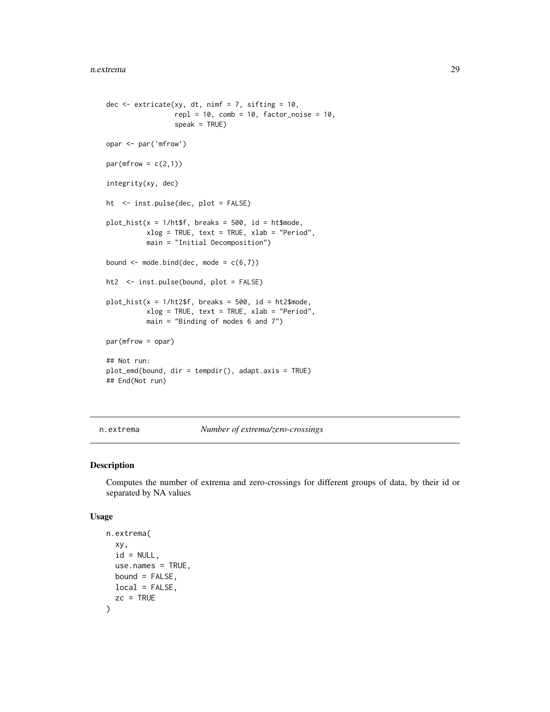```
dec \leq extricate(xy, dt, nimf = 7, sifting = 10,
                 rep1 = 10, comb = 10, factor\_noise = 10,
                 speak = TRUE)
opar <- par('mfrow')
par(mfrow = c(2,1))integrity(xy, dec)
ht <- inst.pulse(dec, plot = FALSE)
plot\_hist(x = 1/httpff, breaks = 500, id = ht$mode,xlog = TRUE, text = TRUE, xlab = "Period",
          main = "Initial Decomposition")
bound \leq mode.bind(dec, mode = c(6,7))
ht2 <- inst.pulse(bound, plot = FALSE)
plot\_hist(x = 1/ht2$f, breaks = 500, id = ht2$mode,
          xlog = TRUE, text = TRUE, xlab = "Period",
          main = "Binding of modes 6 and 7")
par(mfrow = opar)
## Not run:
plot_emd(bound, dir = tempdir(), adapt.axis = TRUE)
## End(Not run)
```
n.extrema *Number of extrema/zero-crossings*

## Description

Computes the number of extrema and zero-crossings for different groups of data, by their id or separated by NA values

#### Usage

```
n.extrema(
  xy,
  id = NULL,use.names = TRUE,
 bound = FALSE,
 local = FALSE,zc = TRUE)
```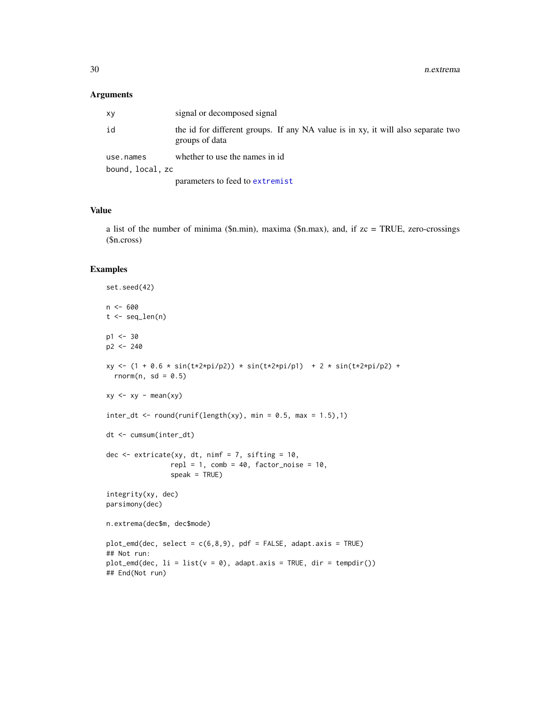#### <span id="page-29-0"></span>Arguments

| XV               | signal or decomposed signal                                                                        |  |  |
|------------------|----------------------------------------------------------------------------------------------------|--|--|
| id               | the id for different groups. If any NA value is in xy, it will also separate two<br>groups of data |  |  |
| use.names        | whether to use the names in id.                                                                    |  |  |
| bound, local, zc |                                                                                                    |  |  |
|                  | parameters to feed to extremist                                                                    |  |  |

## Value

a list of the number of minima (\$n.min), maxima (\$n.max), and, if zc = TRUE, zero-crossings (\$n.cross)

```
set.seed(42)
n < - 600t <- seq_len(n)
p1 < -30p2 <- 240
xy <- (1 + 0.6 * sin(t*2*pi/p2)) * sin(t*2*pi/p1) + 2 * sin(t*2*pi/p2) +
 rnorm(n, sd = 0.5)xy \leftarrow xy - mean(xy)inter_dt \leftarrow round(runif(length(xy), min = 0.5, max = 1.5),1)dt <- cumsum(inter_dt)
dec \leq extricate(xy, dt, nimf = 7, sifting = 10,
                rep1 = 1, comb = 40, factor\_noise = 10,
                speak = TRUE)
integrity(xy, dec)
parsimony(dec)
n.extrema(dec$m, dec$mode)
plot\_emd(dec, select = c(6, 8, 9), pdf = FALSE, adapt-axis = TRUE)## Not run:
plot\_emd(dec, li = list(v = 0), adapt-axis = TRUE, dir = tempdir())## End(Not run)
```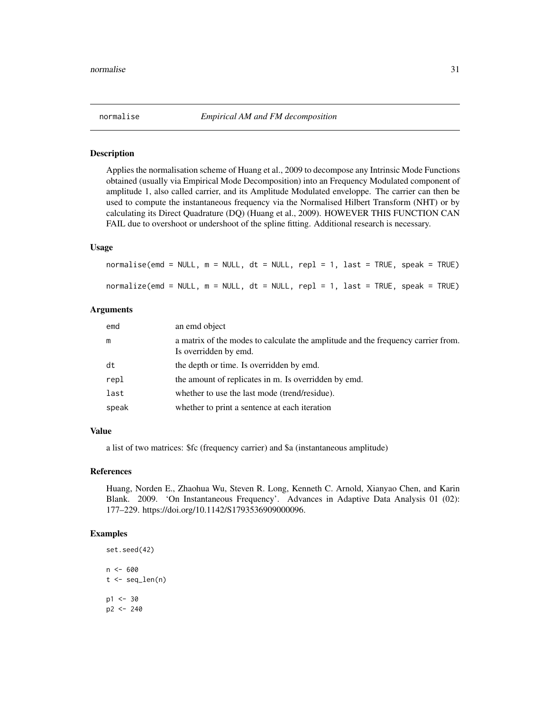<span id="page-30-0"></span>

#### Description

Applies the normalisation scheme of Huang et al., 2009 to decompose any Intrinsic Mode Functions obtained (usually via Empirical Mode Decomposition) into an Frequency Modulated component of amplitude 1, also called carrier, and its Amplitude Modulated enveloppe. The carrier can then be used to compute the instantaneous frequency via the Normalised Hilbert Transform (NHT) or by calculating its Direct Quadrature (DQ) (Huang et al., 2009). HOWEVER THIS FUNCTION CAN FAIL due to overshoot or undershoot of the spline fitting. Additional research is necessary.

#### Usage

| normalise(emd = NULL, m = NULL, dt = NULL, repl = 1, last = TRUE, speak = TRUE) |  |  |  |
|---------------------------------------------------------------------------------|--|--|--|
| normalize(emd = NULL, m = NULL, dt = NULL, repl = 1, last = TRUE, speak = TRUE) |  |  |  |

## Arguments

| emd   | an emd object                                                                                             |
|-------|-----------------------------------------------------------------------------------------------------------|
| m     | a matrix of the modes to calculate the amplitude and the frequency carrier from.<br>Is overridden by emd. |
| dt    | the depth or time. Is overridden by emd.                                                                  |
| repl  | the amount of replicates in m. Is overridden by emd.                                                      |
| last  | whether to use the last mode (trend/residue).                                                             |
| speak | whether to print a sentence at each iteration                                                             |

#### Value

a list of two matrices: \$fc (frequency carrier) and \$a (instantaneous amplitude)

#### References

Huang, Norden E., Zhaohua Wu, Steven R. Long, Kenneth C. Arnold, Xianyao Chen, and Karin Blank. 2009. 'On Instantaneous Frequency'. Advances in Adaptive Data Analysis 01 (02): 177–229. https://doi.org/10.1142/S1793536909000096.

```
set.seed(42)
n <- 600
t < - seq_len(n)
p1 <- 30
p2 <- 240
```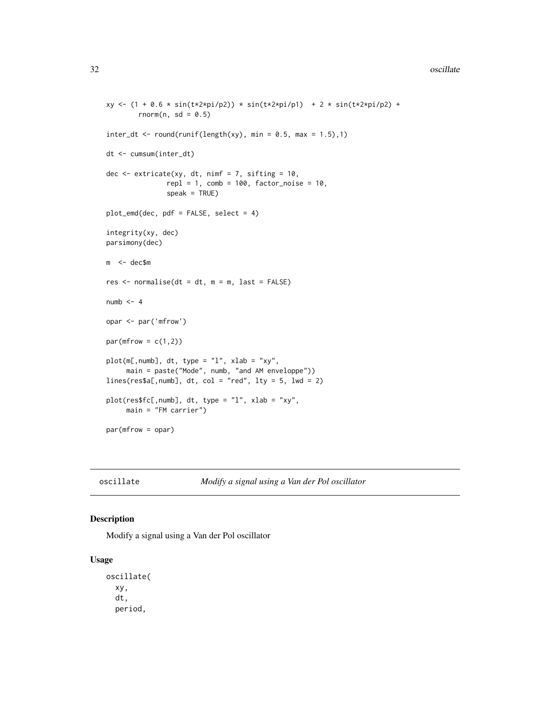#### <span id="page-31-0"></span>32 oscillate and the set of the set of the set of the set of the set of the set of the set of the set of the set of the set of the set of the set of the set of the set of the set of the set of the set of the set of the set

```
xy \leftarrow (1 + 0.6 * sin(t \times 2 \times pi/p2)) * sin(t \times 2 \times pi/p1) + 2 * sin(t \times 2 \times pi/p2) +rnorm(n, sd = 0.5)
inter_dt \leq round(runif(length(xy), min = 0.5, max = 1.5),1)dt <- cumsum(inter_dt)
dec \leq extricate(xy, dt, nimf = 7, sifting = 10,
                rep1 = 1, comb = 100, factor\_noise = 10,
                speak = TRUE)
plot_emd(dec, pdf = FALSE, select = 4)
integrity(xy, dec)
parsimony(dec)
m <- dec$m
res <- normalise(dt = dt, m = m, last = FALSE)
numb < - 4opar <- par('mfrow')
par(mfrow = c(1,2))plot(m[,numb], dt, type = "l", xlab = "xy",
     main = paste("Mode", numb, "and AM enveloppe"))
lines(res$a[, numb], dt, col = "red", lty = 5, lwd = 2)plot(res$fc[,numb], dt, type = "l", xlab = "xy",
     main = "FM carrier")
par(mfrow = opar)
```
oscillate *Modify a signal using a Van der Pol oscillator*

## Description

Modify a signal using a Van der Pol oscillator

#### Usage

oscillate( xy, dt, period,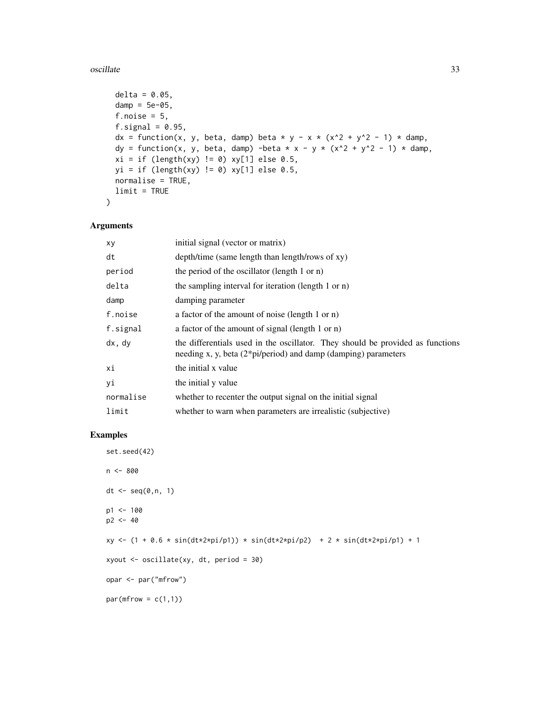#### oscillate 33

```
delta = 0.05,
 damp = 5e-05,
 f.noise = 5,
 f.signal = 0.95,
 dx = function(x, y, beta, damp) beta * y - x * (x^2 + y^2 - 1) * damp,
 dy = function(x, y, beta, damp) -beta * x - y * (x^2 + y^2 - 1) * damp,
 xi = if (length(xy) != 0) xy[1] else 0.5,yi = if (length(xy) != 0) xy[1] else 0.5,normalise = TRUE,
 limit = TRUE
)
```
## Arguments

| xy        | initial signal (vector or matrix)                                                                                                                    |
|-----------|------------------------------------------------------------------------------------------------------------------------------------------------------|
| dt        | depth/time (same length than length/rows of xy)                                                                                                      |
| period    | the period of the oscillator (length 1 or n)                                                                                                         |
| delta     | the sampling interval for iteration (length 1 or n)                                                                                                  |
| damp      | damping parameter                                                                                                                                    |
| f.noise   | a factor of the amount of noise (length 1 or n)                                                                                                      |
| f.signal  | a factor of the amount of signal (length 1 or n)                                                                                                     |
| dx, dy    | the differentials used in the oscillator. They should be provided as functions<br>needing x, y, beta $(2 * pi/period)$ and damp (damping) parameters |
| хi        | the initial x value                                                                                                                                  |
| уi        | the initial y value                                                                                                                                  |
| normalise | whether to recenter the output signal on the initial signal                                                                                          |
| limit     | whether to warn when parameters are irrealistic (subjective)                                                                                         |

```
set.seed(42)
n <- 800
dt \leq seq(0, n, 1)p1 < -100p2 < -40xy \leftarrow (1 + 0.6 * sin(dt * 2 * pi/p1)) * sin(dt * 2 * pi/p2) + 2 * sin(dt * 2 * pi/p1) + 1xyout <- oscillate(xy, dt, period = 30)
opar <- par("mfrow")
par(mfrow = c(1,1))
```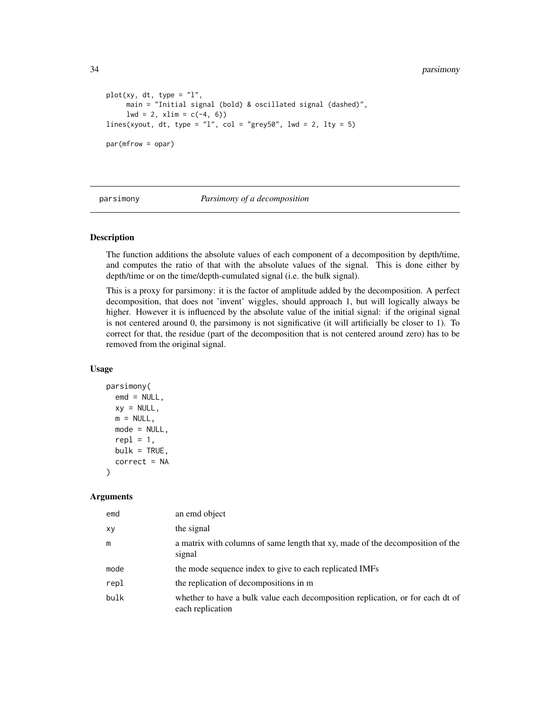```
plot(xy, dt, type = "l",main = "Initial signal (bold) & oscillated signal (dashed)",
     1wd = 2, xlim = c(-4, 6)lines(xyout, dt, type = "l", col = "grey50", lwd = 2, lty = 5)
par(mfrow = opar)
```
parsimony *Parsimony of a decomposition*

## **Description**

The function additions the absolute values of each component of a decomposition by depth/time, and computes the ratio of that with the absolute values of the signal. This is done either by depth/time or on the time/depth-cumulated signal (i.e. the bulk signal).

This is a proxy for parsimony: it is the factor of amplitude added by the decomposition. A perfect decomposition, that does not 'invent' wiggles, should approach 1, but will logically always be higher. However it is influenced by the absolute value of the initial signal: if the original signal is not centered around 0, the parsimony is not significative (it will artificially be closer to 1). To correct for that, the residue (part of the decomposition that is not centered around zero) has to be removed from the original signal.

#### Usage

```
parsimony(
 emd = NULL,xy = NULL,m = NULL,mode = NULL,
 repl = 1,
 bulk = TRUE,correct = NA
)
```

| emd  | an emd object                                                                                      |
|------|----------------------------------------------------------------------------------------------------|
| XV   | the signal                                                                                         |
| m    | a matrix with columns of same length that xy, made of the decomposition of the<br>signal           |
| mode | the mode sequence index to give to each replicated IMFs                                            |
| repl | the replication of decompositions in m                                                             |
| bulk | whether to have a bulk value each decomposition replication, or for each dt of<br>each replication |

<span id="page-33-0"></span>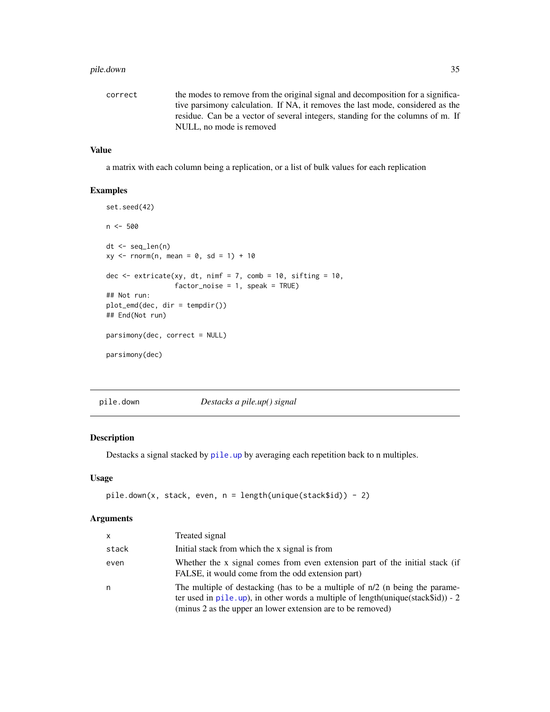#### <span id="page-34-0"></span>pile.down 35

| correct | the modes to remove from the original signal and decomposition for a significa- |
|---------|---------------------------------------------------------------------------------|
|         | tive parsimony calculation. If NA, it removes the last mode, considered as the  |
|         | residue. Can be a vector of several integers, standing for the columns of m. If |
|         | NULL, no mode is removed                                                        |

## Value

a matrix with each column being a replication, or a list of bulk values for each replication

#### Examples

```
set.seed(42)
n <- 500
dt <- seq_len(n)
xy \le - rnorm(n, mean = 0, sd = 1) + 10
dec \le extricate(xy, dt, nimf = 7, comb = 10, sifting = 10,
                 factor\_noise = 1, speak = TRUE)
## Not run:
plot_emd(dec, dir = tempdir())
## End(Not run)
parsimony(dec, correct = NULL)
parsimony(dec)
```
pile.down *Destacks a pile.up() signal*

## Description

Destacks a signal stacked by [pile.up](#page-36-1) by averaging each repetition back to n multiples.

## Usage

```
pile.down(x, stack, even, n = length(unique(stack$id)) - 2)
```

| <b>x</b> | Treated signal                                                                                                                                                                                                                              |
|----------|---------------------------------------------------------------------------------------------------------------------------------------------------------------------------------------------------------------------------------------------|
| stack    | Initial stack from which the x signal is from                                                                                                                                                                                               |
| even     | Whether the x signal comes from even extension part of the initial stack (if<br>FALSE, it would come from the odd extension part)                                                                                                           |
| n        | The multiple of destacking (has to be a multiple of $n/2$ (n being the parame-<br>ter used in pile.up), in other words a multiple of length (unique (stack $\delta$ id)) - 2<br>(minus 2 as the upper an lower extension are to be removed) |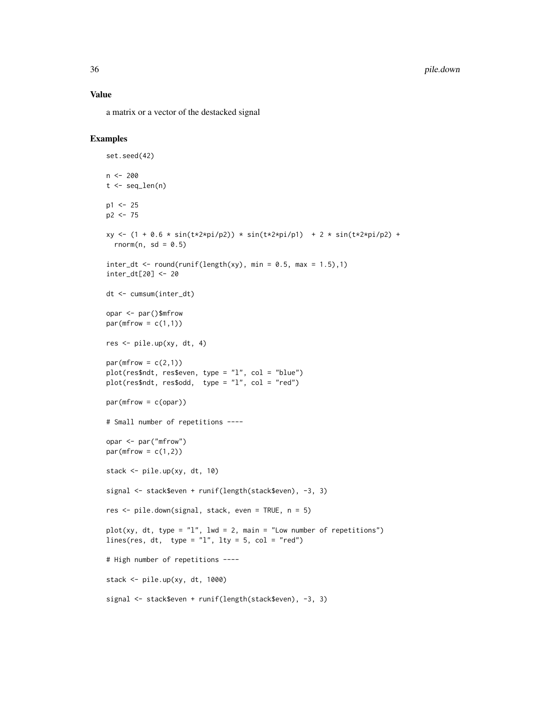#### Value

a matrix or a vector of the destacked signal

```
set.seed(42)
n <- 200
t <- seq_len(n)
p1 <- 25
p2 <- 75
xy <- (1 + 0.6 * sin(t*2*pi/p2)) * sin(t*2*pi/p1) + 2 * sin(t*2*pi/p2) +rnorm(n, sd = 0.5)inter_dt \leq round(runif(length(xy), min = 0.5, max = 1.5),1)inter_dt[20] <- 20
dt <- cumsum(inter_dt)
opar <- par()$mfrow
par(mfrow = c(1,1))res <- pile.up(xy, dt, 4)
par(mfrow = c(2,1))plot(res$ndt, res$even, type = "l", col = "blue")
plot(res$ndt, res$odd, type = "l", col = "red")par(mfrow = c(opar))# Small number of repetitions ----
opar <- par("mfrow")
par(mfrow = c(1,2))stack <- pile.up(xy, dt, 10)
signal <- stack$even + runif(length(stack$even), -3, 3)
res <- pile.down(signal, stack, even = TRUE, n = 5)
plot(xy, dt, type = "1", lwd = 2, main = "Low number of repetitions")
lines(res, dt, type = "l", lty = 5, col = "red")# High number of repetitions ----
stack <- pile.up(xy, dt, 1000)
signal <- stack$even + runif(length(stack$even), -3, 3)
```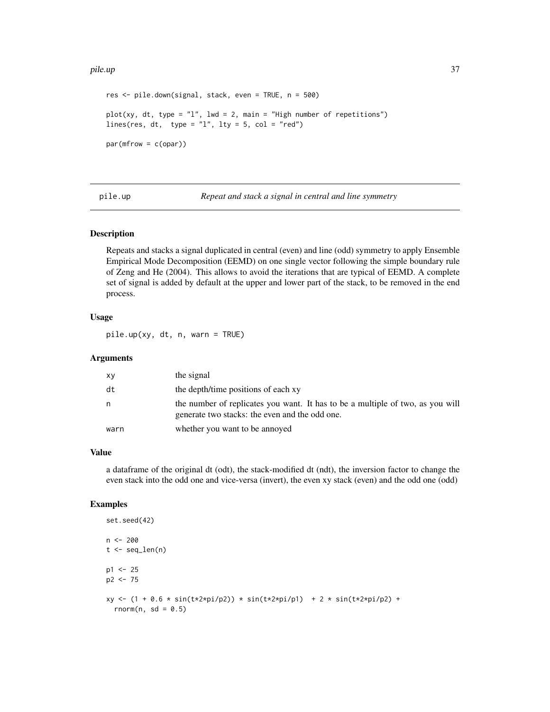#### <span id="page-36-0"></span>pile.up 37

```
res <- pile.down(signal, stack, even = TRUE, n = 500)
plot(xy, dt, type = "l", lwd = 2, main = "High number of repetitions")lines(res, dt, type = "1", lty = 5, col = "red")
par(mfrow = c(opar))
```
<span id="page-36-1"></span>pile.up *Repeat and stack a signal in central and line symmetry*

## Description

Repeats and stacks a signal duplicated in central (even) and line (odd) symmetry to apply Ensemble Empirical Mode Decomposition (EEMD) on one single vector following the simple boundary rule of Zeng and He (2004). This allows to avoid the iterations that are typical of EEMD. A complete set of signal is added by default at the upper and lower part of the stack, to be removed in the end process.

#### Usage

pile.up(xy, dt, n, warn = TRUE)

#### Arguments

| xy   | the signal                                                                                                                       |
|------|----------------------------------------------------------------------------------------------------------------------------------|
| dt   | the depth/time positions of each xy                                                                                              |
| n    | the number of replicates you want. It has to be a multiple of two, as you will<br>generate two stacks: the even and the odd one. |
| warn | whether you want to be annoyed                                                                                                   |

#### Value

a dataframe of the original dt (odt), the stack-modified dt (ndt), the inversion factor to change the even stack into the odd one and vice-versa (invert), the even xy stack (even) and the odd one (odd)

```
set.seed(42)
n < -200t < - seq_len(n)
p1 <- 25
p2 < -75xy \leftarrow (1 + 0.6 * sin(t \times 2 \times pi/p2)) * sin(t \times 2 \times pi/p1) + 2 * sin(t \times 2 \times pi/p2) +rnorm(n, sd = 0.5)
```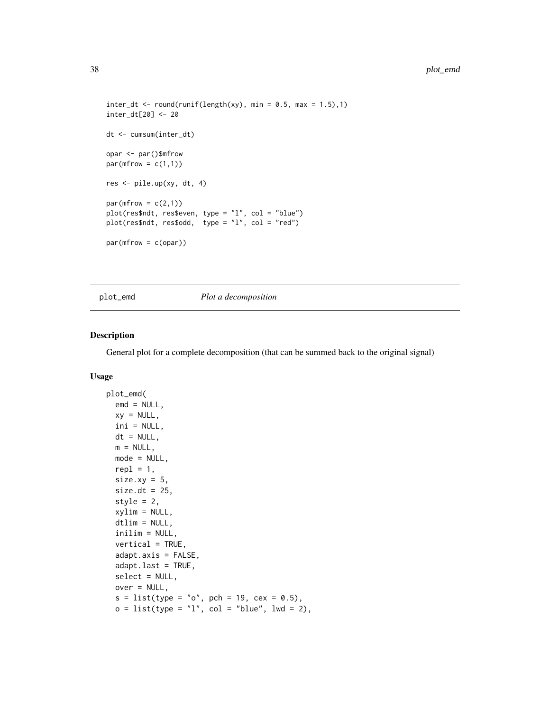```
inter_dt \leq round(runif(length(xy), min = 0.5, max = 1.5),1)inter_dt[20] <- 20
dt <- cumsum(inter_dt)
opar <- par()$mfrow
par(mfrow = c(1,1))res <- pile.up(xy, dt, 4)
par(mfrow = c(2,1))plot(res$ndt, res$even, type = "l", col = "blue")
plot(res$ndt, res$odd, type = "l", col = "red")
par(mfrow = c(opar))
```
## plot\_emd *Plot a decomposition*

#### Description

General plot for a complete decomposition (that can be summed back to the original signal)

#### Usage

```
plot_emd(
  emd = NULL,
 xy = NULL,ini = NULL,
 dt = NULL,m = NULL,mode = NULL,repl = 1,
 size.xy = 5,
 size.dt = 25,
 style = 2,
  xylim = NULL,
 dtlim = NULL,
  inilim = NULL,
  vertical = TRUE,
  adapt.axis = FALSE,
  adapt.last = TRUE,
  select = NULL,
 over = NULL,
 s = list(type = "o", pch = 19, cex = 0.5),o = list(type = "l", col = "blue", lw = 2),
```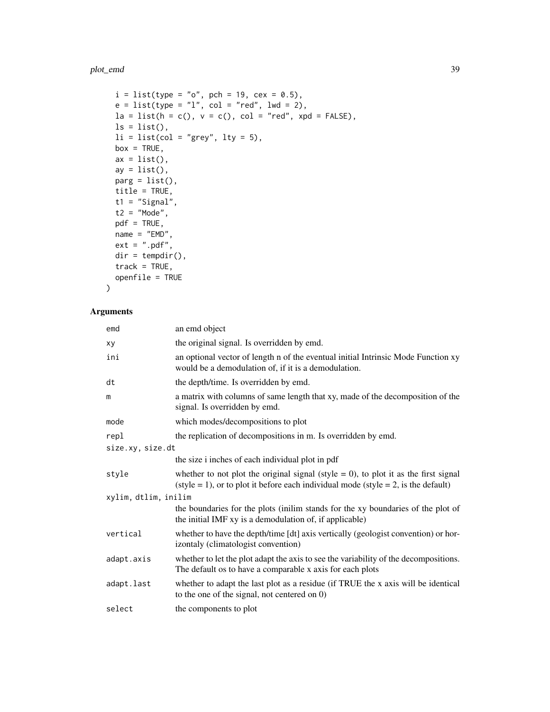#### plot\_emd 39

```
i = list(type = "o", pch = 19, cex = 0.5),e = list(type = "l", col = "red", lwd = 2),la = list(h = c(), v = c(), col = "red", xpd = FALSE),ls = list(),li = list(col = "grey", ly = 5),box = TRUE,ax = list(),
 ay = list(),
 parg = list(),
 title = TRUE,
 t1 = "Signal",t2 = "Mode",pdf = TRUE,
 name = "EMD",ext = ".pdf",
 dir = tempdir(),
 track = TRUE,openfile = TRUE
\mathcal{L}
```

| emd                  | an emd object                                                                                                                                                                       |
|----------------------|-------------------------------------------------------------------------------------------------------------------------------------------------------------------------------------|
| хy                   | the original signal. Is overridden by emd.                                                                                                                                          |
| ini                  | an optional vector of length n of the eventual initial Intrinsic Mode Function xy<br>would be a demodulation of, if it is a demodulation.                                           |
| dt                   | the depth/time. Is overridden by emd.                                                                                                                                               |
| m                    | a matrix with columns of same length that xy, made of the decomposition of the<br>signal. Is overridden by emd.                                                                     |
| mode                 | which modes/decompositions to plot                                                                                                                                                  |
| repl                 | the replication of decompositions in m. Is overridden by emd.                                                                                                                       |
| size.xy, size.dt     |                                                                                                                                                                                     |
|                      | the size i inches of each individual plot in pdf                                                                                                                                    |
| style                | whether to not plot the original signal (style = 0), to plot it as the first signal<br>$(\text{style} = 1)$ , or to plot it before each individual mode (style = 2, is the default) |
| xylim, dtlim, inilim |                                                                                                                                                                                     |
|                      | the boundaries for the plots (inilim stands for the xy boundaries of the plot of<br>the initial IMF xy is a demodulation of, if applicable)                                         |
| vertical             | whether to have the depth/time [dt] axis vertically (geologist convention) or hor-<br>izontaly (climatologist convention)                                                           |
| adapt.axis           | whether to let the plot adapt the axis to see the variability of the decompositions.<br>The default os to have a comparable x axis for each plots                                   |
| adapt.last           | whether to adapt the last plot as a residue (if TRUE the x axis will be identical<br>to the one of the signal, not centered on 0)                                                   |
| select               | the components to plot                                                                                                                                                              |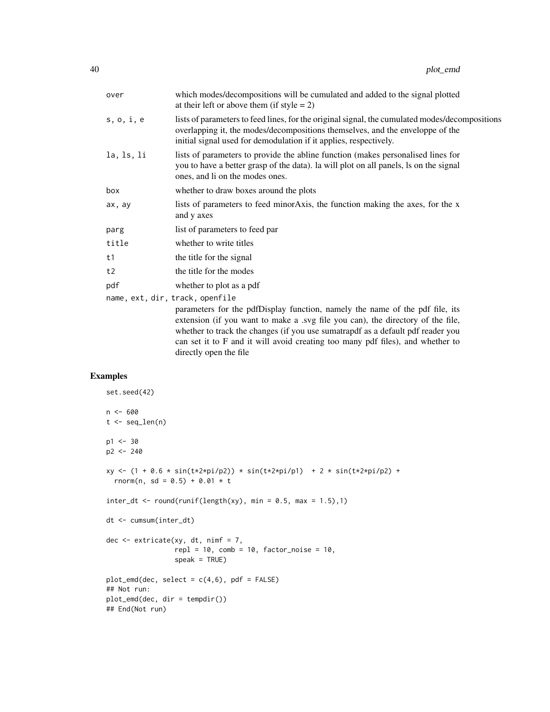| over                            | which modes/decompositions will be cumulated and added to the signal plotted<br>at their left or above them (if style = $2$ )                                                                                                                                                                                                                                   |
|---------------------------------|-----------------------------------------------------------------------------------------------------------------------------------------------------------------------------------------------------------------------------------------------------------------------------------------------------------------------------------------------------------------|
| s, o, i, e                      | lists of parameters to feed lines, for the original signal, the cumulated modes/decompositions<br>overlapping it, the modes/decompositions themselves, and the enveloppe of the<br>initial signal used for demodulation if it applies, respectively.                                                                                                            |
| la, ls, li                      | lists of parameters to provide the abline function (makes personalised lines for<br>you to have a better grasp of the data). Ia will plot on all panels, is on the signal<br>ones, and li on the modes ones.                                                                                                                                                    |
| box                             | whether to draw boxes around the plots                                                                                                                                                                                                                                                                                                                          |
| ax, ay                          | lists of parameters to feed minor Axis, the function making the axes, for the x<br>and y axes                                                                                                                                                                                                                                                                   |
| parg                            | list of parameters to feed par                                                                                                                                                                                                                                                                                                                                  |
| title                           | whether to write titles                                                                                                                                                                                                                                                                                                                                         |
| t1                              | the title for the signal                                                                                                                                                                                                                                                                                                                                        |
| t2                              | the title for the modes                                                                                                                                                                                                                                                                                                                                         |
| pdf                             | whether to plot as a pdf                                                                                                                                                                                                                                                                                                                                        |
| name, ext, dir, track, openfile |                                                                                                                                                                                                                                                                                                                                                                 |
|                                 | parameters for the pdfDisplay function, namely the name of the pdf file, its<br>extension (if you want to make a .svg file you can), the directory of the file,<br>whether to track the changes (if you use sumatrapdf as a default pdf reader you<br>can set it to F and it will avoid creating too many pdf files), and whether to<br>directly open the file. |

```
set.seed(42)
n < - 600t < - seq_len(n)
p1 < -30p2 < -240xy \leftarrow (1 + 0.6 * sin(t * 2 * pi/p2)) * sin(t * 2 * pi/p1) + 2 * sin(t * 2 * pi/p2) +rnorm(n, sd = 0.5) + 0.01 * tinter_dt <- round(runif(length(xy), min = 0.5, max = 1.5),1)
dt <- cumsum(inter_dt)
dec \leq extricate(xy, dt, nimf = 7,
                 repl = 10, comb = 10, factor\_noise = 10,
                  speak = TRUE)
plot\_emd(dec, select = c(4,6), pdf = FALSE)## Not run:
plot_emd(dec, dir = tempdir())
## End(Not run)
```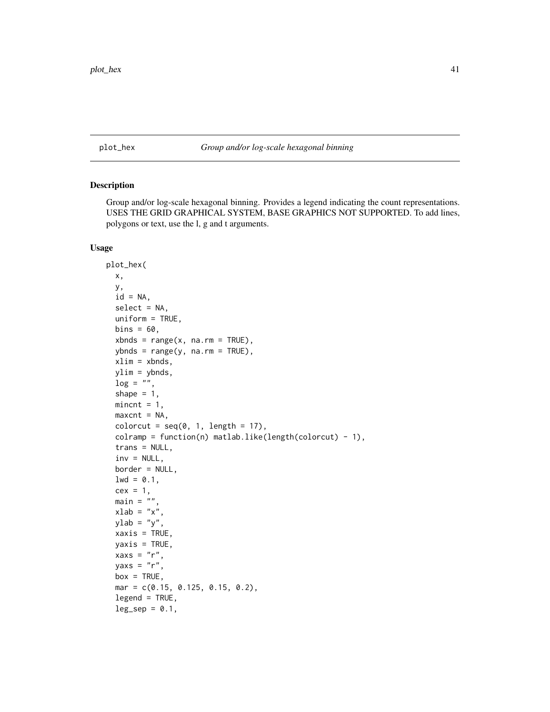<span id="page-40-1"></span><span id="page-40-0"></span>plot\_hex *Group and/or log-scale hexagonal binning*

## Description

Group and/or log-scale hexagonal binning. Provides a legend indicating the count representations. USES THE GRID GRAPHICAL SYSTEM, BASE GRAPHICS NOT SUPPORTED. To add lines, polygons or text, use the l, g and t arguments.

## Usage

```
plot_hex(
 x,
 y,
  id = NA,select = NA,
 uniform = TRUE,
 bins = 60,
  xbnds = range(x, na.rm = TRUE),ybnds = range(y, na.rm = TRUE),xlim = xbnds,vlim = vbnds,
 log = "".shape = 1,
 mincnt = 1,
 maxcnt = NA,
 colorcut = seq(0, 1, length = 17),
  colramp = function(n) matlab.like(length(colorcut) - 1),
  trans = NULL,
  inv = NULL,border = NULL,
  1wd = 0.1,
  cex = 1,
 main = ""xlab = "x",
 ylab = "y",
 xaxis = TRUE,yaxis = TRUE,
  xaxs = "r",yaxs = "r",box = TRUE,
 mar = c(0.15, 0.125, 0.15, 0.2),
  legend = TRUE,
  leg\_sep = 0.1,
```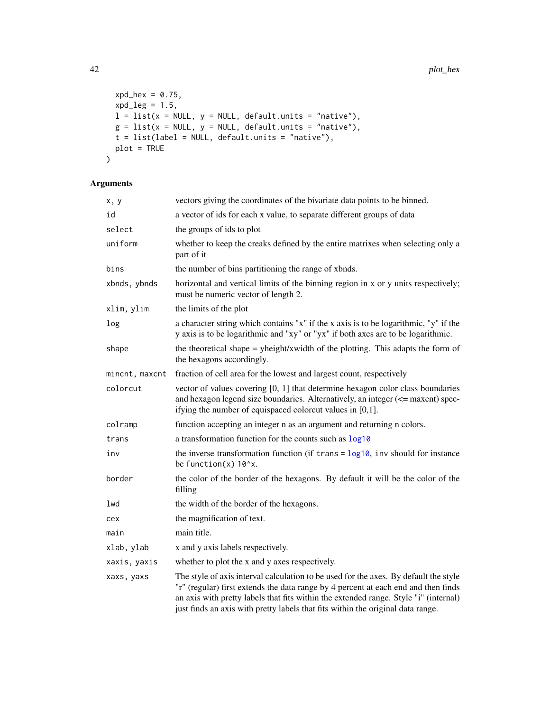```
xd\text{-}hex = 0.75,
 xpd_{leg} = 1.5,
 l = list(x = NULL, y = NULL, default.units = "native"),g = list(x = NULL, y = NULL, default.units = 'native''),t = list(label = NULL, default.units = 'matrix'),plot = TRUE
\mathcal{L}
```

| x, y           | vectors giving the coordinates of the bivariate data points to be binned.                                                                                                                                                                                                                                                                             |
|----------------|-------------------------------------------------------------------------------------------------------------------------------------------------------------------------------------------------------------------------------------------------------------------------------------------------------------------------------------------------------|
| id             | a vector of ids for each x value, to separate different groups of data                                                                                                                                                                                                                                                                                |
| select         | the groups of ids to plot                                                                                                                                                                                                                                                                                                                             |
| uniform        | whether to keep the creaks defined by the entire matrixes when selecting only a<br>part of it                                                                                                                                                                                                                                                         |
| bins           | the number of bins partitioning the range of xbnds.                                                                                                                                                                                                                                                                                                   |
| xbnds, ybnds   | horizontal and vertical limits of the binning region in x or y units respectively;<br>must be numeric vector of length 2.                                                                                                                                                                                                                             |
| xlim, ylim     | the limits of the plot                                                                                                                                                                                                                                                                                                                                |
| log            | a character string which contains "x" if the x axis is to be logarithmic, "y" if the<br>y axis is to be logarithmic and "xy" or "yx" if both axes are to be logarithmic.                                                                                                                                                                              |
| shape          | the theoretical shape = yheight/xwidth of the plotting. This adapts the form of<br>the hexagons accordingly.                                                                                                                                                                                                                                          |
| mincnt, maxcnt | fraction of cell area for the lowest and largest count, respectively                                                                                                                                                                                                                                                                                  |
| colorcut       | vector of values covering $[0, 1]$ that determine hexagon color class boundaries<br>and hexagon legend size boundaries. Alternatively, an integer (<= maxcnt) spec-<br>if ying the number of equispaced colorcut values in $[0,1]$ .                                                                                                                  |
| colramp        | function accepting an integer n as an argument and returning n colors.                                                                                                                                                                                                                                                                                |
| trans          | a transformation function for the counts such as $log10$                                                                                                                                                                                                                                                                                              |
| inv            | the inverse transformation function (if $trans = log10$ , inv should for instance<br>be function $(x)$ 10 $\alpha$ x.                                                                                                                                                                                                                                 |
| border         | the color of the border of the hexagons. By default it will be the color of the<br>filling                                                                                                                                                                                                                                                            |
| lwd            | the width of the border of the hexagons.                                                                                                                                                                                                                                                                                                              |
| cex            | the magnification of text.                                                                                                                                                                                                                                                                                                                            |
| main           | main title.                                                                                                                                                                                                                                                                                                                                           |
| xlab, ylab     | x and y axis labels respectively.                                                                                                                                                                                                                                                                                                                     |
| xaxis, yaxis   | whether to plot the x and y axes respectively.                                                                                                                                                                                                                                                                                                        |
| xaxs, yaxs     | The style of axis interval calculation to be used for the axes. By default the style<br>"r" (regular) first extends the data range by 4 percent at each end and then finds<br>an axis with pretty labels that fits within the extended range. Style "i" (internal)<br>just finds an axis with pretty labels that fits within the original data range. |

<span id="page-41-0"></span>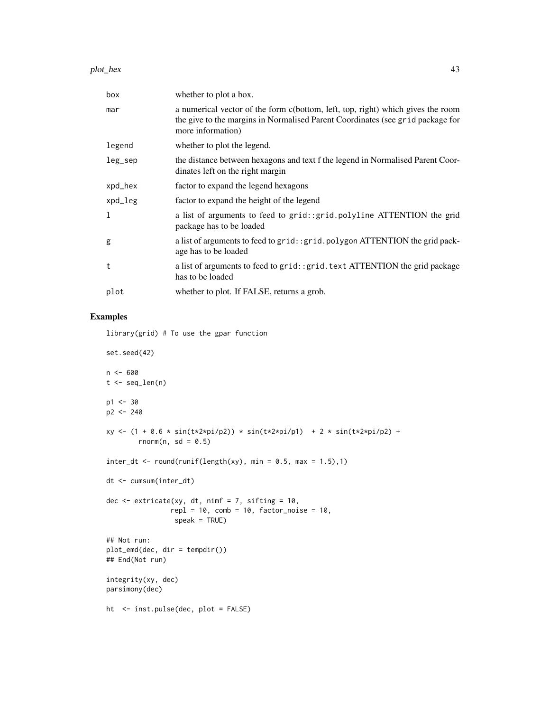#### plot\_hex 43

| box     | whether to plot a box.                                                                                                                                                                 |
|---------|----------------------------------------------------------------------------------------------------------------------------------------------------------------------------------------|
| mar     | a numerical vector of the form c(bottom, left, top, right) which gives the room<br>the give to the margins in Normalised Parent Coordinates (see grid package for<br>more information) |
| legend  | whether to plot the legend.                                                                                                                                                            |
| leg_sep | the distance between hexagons and text f the legend in Normalised Parent Coor-<br>dinates left on the right margin                                                                     |
| xpd_hex | factor to expand the legend hexagons                                                                                                                                                   |
| xpd_leg | factor to expand the height of the legend                                                                                                                                              |
| 1       | a list of arguments to feed to grid: :grid.polyline ATTENTION the grid<br>package has to be loaded                                                                                     |
| g       | a list of arguments to feed to grid:: grid.polygon ATTENTION the grid pack-<br>age has to be loaded                                                                                    |
| t       | a list of arguments to feed to grid: : grid. text ATTENTION the grid package<br>has to be loaded                                                                                       |
| plot    | whether to plot. If FALSE, returns a grob.                                                                                                                                             |

## Examples

library(grid) # To use the gpar function

```
set.seed(42)
n < - 600t <- seq_len(n)
p1 < -30p2 < -240xy \leftarrow (1 + 0.6 * sin(t \times 2 \times pi/p2)) * sin(t \times 2 \times pi/p1) + 2 * sin(t \times 2 \times pi/p2) +rnorm(n, sd = 0.5)
inter_dt \leftarrow round(runif(length(xy), min = 0.5, max = 1.5),1)dt <- cumsum(inter_dt)
dec \leq extricate(xy, dt, nimf = 7, sifting = 10,
                 rep1 = 10, comb = 10, factor\_noise = 10,
                   speak = TRUE)
## Not run:
plot_emd(dec, dir = tempdir())
## End(Not run)
integrity(xy, dec)
parsimony(dec)
ht <- inst.pulse(dec, plot = FALSE)
```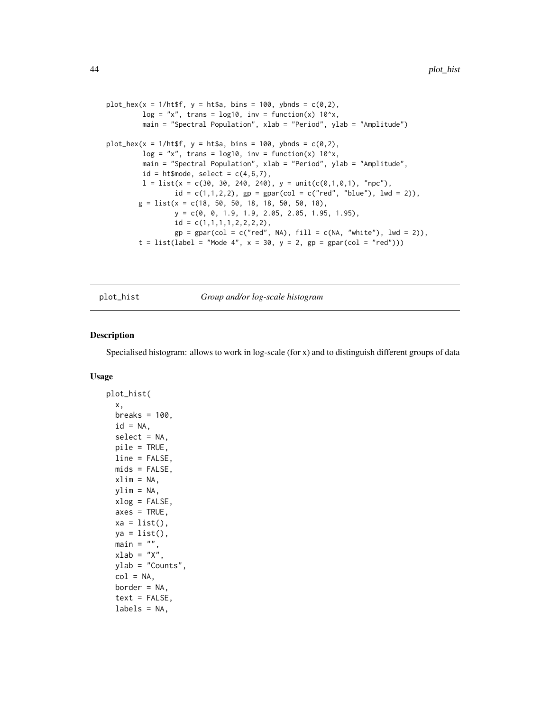```
plot_{\text{max}}(x = 1/\text{htsf}, y = \text{htsa}, \text{bins} = 100, \text{ ybnds} = c(0, 2),log = "x", trans = log10, inv = function(x) 10^x,main = "Spectral Population", xlab = "Period", ylab = "Amplitude")
plot\_hex(x = 1/httpttsf, y = ht$a, bins = 100, ybnds = c(0,2),log = "x", trans = log10, inv = function(x) 10^x,main = "Spectral Population", xlab = "Period", ylab = "Amplitude",
         id = ht$mode, select = c(4,6,7),
         l = list(x = c(30, 30, 240, 240), y = unit(c(0,1,0,1), "npc"),id = c(1,1,2,2), gp = gpar(col = c("red", "blue"), lwd = 2)),g = list(x = c(18, 50, 50, 18, 18, 50, 50, 18),y = c(0, 0, 1.9, 1.9, 2.05, 2.05, 1.95, 1.95),
                 id = c(1,1,1,1,2,2,2,2),
                 gp = gpar(col = c("red", NA), fill = c(NA, "white"), lwd = 2)),t = list(label = "Mode 4", x = 30, y = 2, gp = gpar(col = "red"))
```
<span id="page-43-1"></span>plot\_hist *Group and/or log-scale histogram*

#### Description

Specialised histogram: allows to work in log-scale (for x) and to distinguish different groups of data

#### Usage

```
plot_hist(
 x,
 breaks = 100,
  id = NA,select = NA,
 pile = TRUE,
 line = FALSE,
 mids = FALSE,
 xlim = NA,
 vlim = NA,
 xlog = FALSE,
  axes = TRUE,
 xa = list(),
 ya = list(),
 main = "",xlab = "X".
 ylab = "Counts",
  col = NA,
 border = NA,
  text = FALSE,labels = NA,
```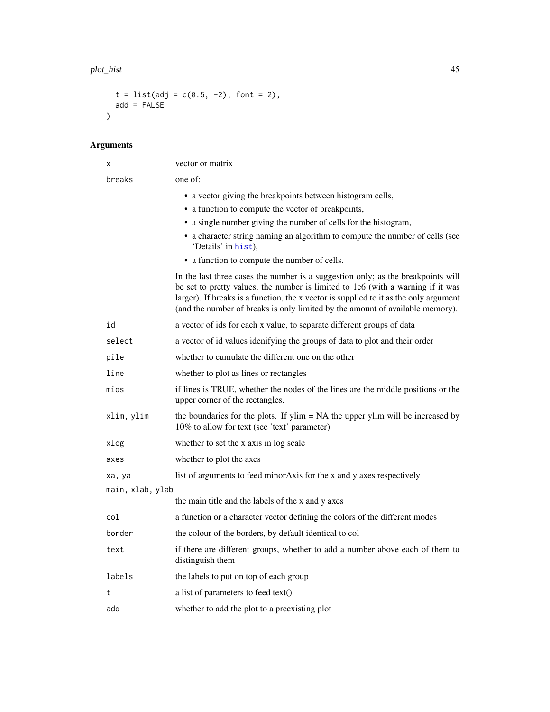#### <span id="page-44-0"></span>plot\_hist 45

```
t = list(adj = c(0.5, -2), font = 2),add = FALSE\lambda
```

| х                | vector or matrix                                                                                                                                                                                                                                                                                                                              |
|------------------|-----------------------------------------------------------------------------------------------------------------------------------------------------------------------------------------------------------------------------------------------------------------------------------------------------------------------------------------------|
| breaks           | one of:                                                                                                                                                                                                                                                                                                                                       |
|                  | • a vector giving the breakpoints between histogram cells,                                                                                                                                                                                                                                                                                    |
|                  | • a function to compute the vector of breakpoints,                                                                                                                                                                                                                                                                                            |
|                  | • a single number giving the number of cells for the histogram,                                                                                                                                                                                                                                                                               |
|                  | • a character string naming an algorithm to compute the number of cells (see<br>'Details' in hist),                                                                                                                                                                                                                                           |
|                  | • a function to compute the number of cells.                                                                                                                                                                                                                                                                                                  |
|                  | In the last three cases the number is a suggestion only; as the breakpoints will<br>be set to pretty values, the number is limited to 1e6 (with a warning if it was<br>larger). If breaks is a function, the x vector is supplied to it as the only argument<br>(and the number of breaks is only limited by the amount of available memory). |
| id               | a vector of ids for each x value, to separate different groups of data                                                                                                                                                                                                                                                                        |
| select           | a vector of id values idenifying the groups of data to plot and their order                                                                                                                                                                                                                                                                   |
| pile             | whether to cumulate the different one on the other                                                                                                                                                                                                                                                                                            |
| line             | whether to plot as lines or rectangles                                                                                                                                                                                                                                                                                                        |
| mids             | if lines is TRUE, whether the nodes of the lines are the middle positions or the<br>upper corner of the rectangles.                                                                                                                                                                                                                           |
| xlim, ylim       | the boundaries for the plots. If $ylim = NA$ the upper $ylim$ will be increased by<br>10% to allow for text (see 'text' parameter)                                                                                                                                                                                                            |
| xlog             | whether to set the x axis in log scale                                                                                                                                                                                                                                                                                                        |
| axes             | whether to plot the axes                                                                                                                                                                                                                                                                                                                      |
| xa, ya           | list of arguments to feed minor Axis for the x and y axes respectively                                                                                                                                                                                                                                                                        |
| main, xlab, ylab |                                                                                                                                                                                                                                                                                                                                               |
|                  | the main title and the labels of the x and y axes                                                                                                                                                                                                                                                                                             |
| col              | a function or a character vector defining the colors of the different modes                                                                                                                                                                                                                                                                   |
| border           | the colour of the borders, by default identical to col                                                                                                                                                                                                                                                                                        |
| text             | if there are different groups, whether to add a number above each of them to<br>distinguish them                                                                                                                                                                                                                                              |
| labels           | the labels to put on top of each group                                                                                                                                                                                                                                                                                                        |
| t                | a list of parameters to feed text()                                                                                                                                                                                                                                                                                                           |
| add              | whether to add the plot to a preexisting plot                                                                                                                                                                                                                                                                                                 |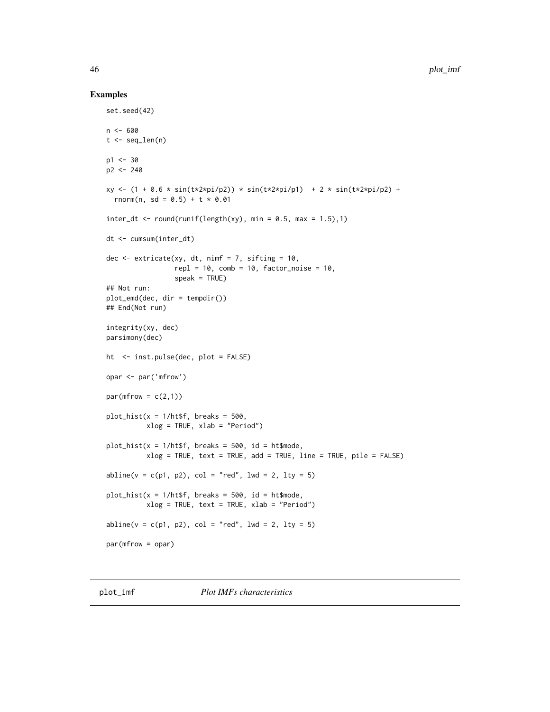#### Examples

```
set.seed(42)
n <- 600
t < - seq_len(n)
p1 < -30p2 <- 240
xy <- (1 + 0.6 * sin(t*2*pi/p2)) * sin(t*2*pi/p1) + 2 * sin(t*2*pi/p2) +rnorm(n, sd = 0.5) + t * 0.01
inter_dt <- round(runif(length(xy), min = 0.5, max = 1.5),1)
dt <- cumsum(inter_dt)
dec \leq extricate(xy, dt, nimf = 7, sifting = 10,
                 rep1 = 10, comb = 10, factor\_noise = 10,
                 speak = TRUE)
## Not run:
plot_emd(dec, dir = tempdir())
## End(Not run)
integrity(xy, dec)
parsimony(dec)
ht <- inst.pulse(dec, plot = FALSE)
opar <- par('mfrow')
par(mfrow = c(2,1))plot\_hist(x = 1/httpff, breaks = 500,xlog = TRUE, xlab = "Period")
plot\_hist(x = 1/httpff, breaks = 500, id = htsmode,
          xlog = TRUE, text = TRUE, add = TRUE, line = TRUE, pile = FALSE)
abline(v = c(p1, p2), col = "red", lwd = 2, lty = 5)plot\_hist(x = 1/httpff, breaks = 500, id = htsmode,
          xlog = TRUE, text = TRUE, xlab = "Period")
abline(v = c(p1, p2), col = "red", lwd = 2, lty = 5)par(mfrow = opar)
```
plot\_imf *Plot IMFs characteristics*

<span id="page-45-0"></span>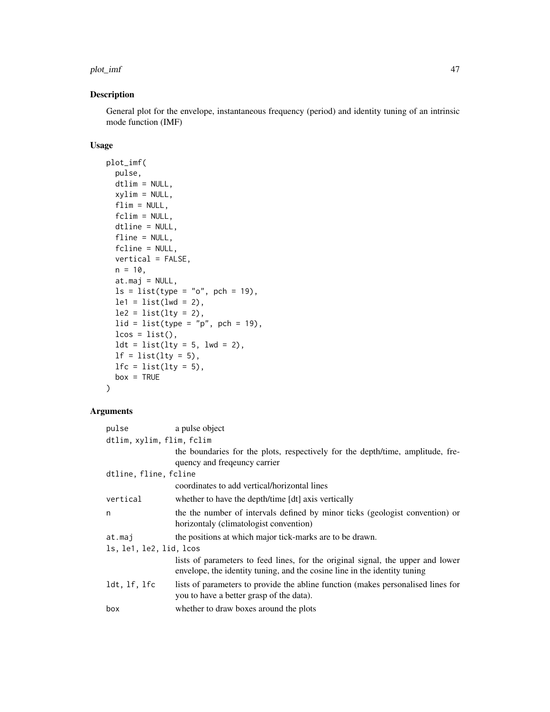#### plot\_imf 47

## Description

General plot for the envelope, instantaneous frequency (period) and identity tuning of an intrinsic mode function (IMF)

## Usage

```
plot_imf(
  pulse,
  dtlim = NULL,
  xylim = NULL,
  flim = NULL,fclim = NULL,
  dtline = NULL,
  fline = NULL,
  fcline = NULL,
  vertical = FALSE,n = 10,
  at.maj = NULL,ls = list(type = "o", pch = 19),le1 = list(lwd = 2),
  le2 = list(lty = 2),
  lid = list(type = "p", pch = 19),lcos = list(),\begin{aligned} \n\text{ldt} = \text{list}(\text{lty} = 5, \text{ lwd} = 2), \n\end{aligned}lf = list(lty = 5),
  lfc = list(lty = 5),
  box = TRUE)
```

| pulse                     | a pulse object                                                                                                                                               |  |  |
|---------------------------|--------------------------------------------------------------------------------------------------------------------------------------------------------------|--|--|
| dtlim, xylim, flim, fclim |                                                                                                                                                              |  |  |
|                           | the boundaries for the plots, respectively for the depth/time, amplitude, fre-                                                                               |  |  |
|                           | quency and freqeuncy carrier                                                                                                                                 |  |  |
| dtline, fline, fcline     |                                                                                                                                                              |  |  |
|                           | coordinates to add vertical/horizontal lines                                                                                                                 |  |  |
| vertical                  | whether to have the depth/time [dt] axis vertically                                                                                                          |  |  |
| n                         | the the number of intervals defined by minor ticks (geologist convention) or                                                                                 |  |  |
|                           | horizontaly (climatologist convention)                                                                                                                       |  |  |
| at.maj                    | the positions at which major tick-marks are to be drawn.                                                                                                     |  |  |
| ls, le1, le2, lid, lcos   |                                                                                                                                                              |  |  |
|                           | lists of parameters to feed lines, for the original signal, the upper and lower<br>envelope, the identity tuning, and the cosine line in the identity tuning |  |  |
| ldt, lf, lfc              | lists of parameters to provide the abline function (makes personalised lines for                                                                             |  |  |
|                           | you to have a better grasp of the data).                                                                                                                     |  |  |
| box                       | whether to draw boxes around the plots                                                                                                                       |  |  |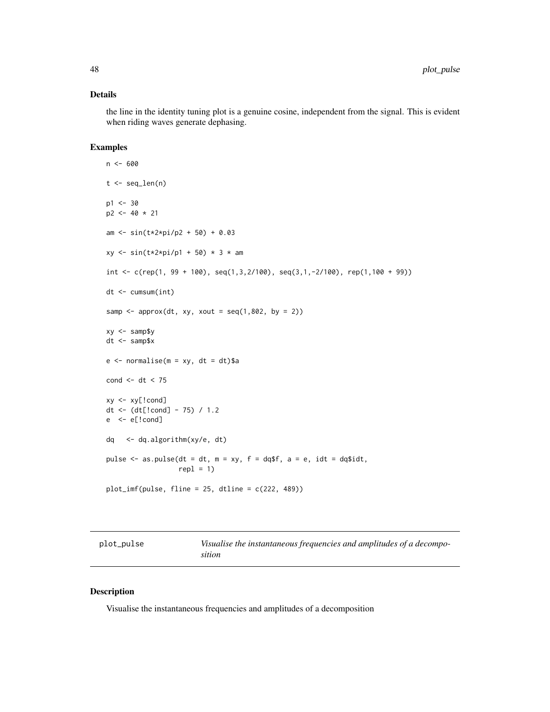## <span id="page-47-0"></span>Details

the line in the identity tuning plot is a genuine cosine, independent from the signal. This is evident when riding waves generate dephasing.

## Examples

```
n <- 600
t < - seq_len(n)
p1 <- 30
p2 <- 40 * 21
am <- sin(t*2*pi/p2 + 50) + 0.03
xy \le -\sin(t \times 2 \times pi/p1 + 50) \times 3 \times amint < -c(rep(1, 99 + 100), seq(1, 3, 2/100), seq(3, 1, -2/100), rep(1, 100 + 99))dt <- cumsum(int)
samp \leq approx(dt, xy, xout = seq(1,802, by = 2))
xy <- samp$y
dt <- samp$x
e \le normalise(m = xy, dt = dt)$a
cond <- dt < 75
xy <- xy[!cond]
dt <- (dt[!cond] - 75) / 1.2
e <- e[!cond]
dq <- dq.algorithm(xy/e, dt)
pulse \leq as.pulse(dt = dt, m = xy, f = dq$f, a = e, idt = dq$idt,
                   rep1 = 1plot\_imf(pulse, flip = 25, dtline = c(222, 489))
```

| plot_pulse |  |
|------------|--|
|------------|--|

Visualise the instantaneous frequencies and amplitudes of a decompo*sition*

#### Description

Visualise the instantaneous frequencies and amplitudes of a decomposition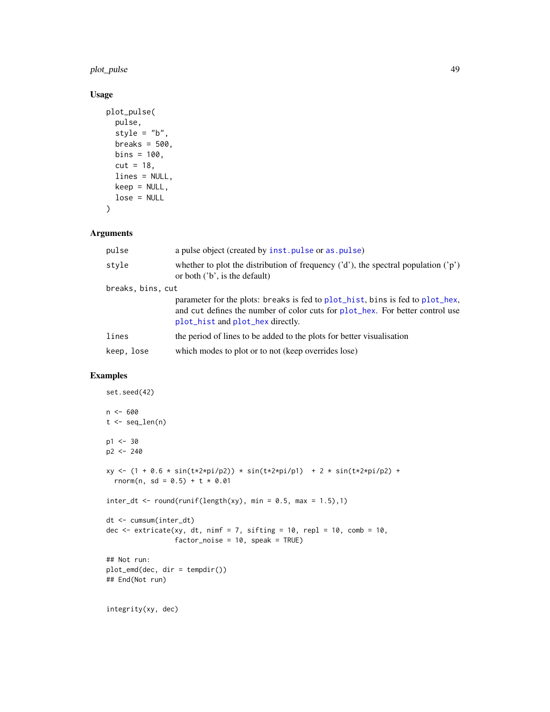<span id="page-48-0"></span>plot\_pulse 49

## Usage

```
plot_pulse(
 pulse,
 style = "b",
 breaks = 500,
 bins = 100,
 cut = 18,
 lines = NULL,
 keep = NULL,
 lose = NULL
)
```
## Arguments

| pulse             | a pulse object (created by inst. pulse or as. pulse)                                                                                                                                               |
|-------------------|----------------------------------------------------------------------------------------------------------------------------------------------------------------------------------------------------|
| style             | whether to plot the distribution of frequency $('d')$ , the spectral population $('p')$<br>or both $('b', is the default)$                                                                         |
| breaks, bins, cut |                                                                                                                                                                                                    |
|                   | parameter for the plots: breaks is fed to plot_hist, bins is fed to plot_hex,<br>and cut defines the number of color cuts for plot_hex. For better control use<br>plot_hist and plot_hex directly. |
| lines             | the period of lines to be added to the plots for better visualization                                                                                                                              |
| keep, lose        | which modes to plot or to not (keep overrides lose)                                                                                                                                                |

```
set.seed(42)
n < - 600t < - seq_len(n)
p1 < -30p2 < -240xy \leftarrow (1 + 0.6 * sin(t \times 2 \times pi/p2)) * sin(t \times 2 \times pi/p1) + 2 * sin(t \times 2 \times pi/p2) +rnorm(n, sd = 0.5) + t * 0.01
inter_dt <- round(runif(length(xy), min = 0.5, max = 1.5),1)
dt <- cumsum(inter_dt)
dec \le extricate(xy, dt, nimf = 7, sifting = 10, repl = 10, comb = 10,
                   factor_noise = 10, speak = TRUE)
## Not run:
plot_emd(dec, dir = tempdir())
## End(Not run)
```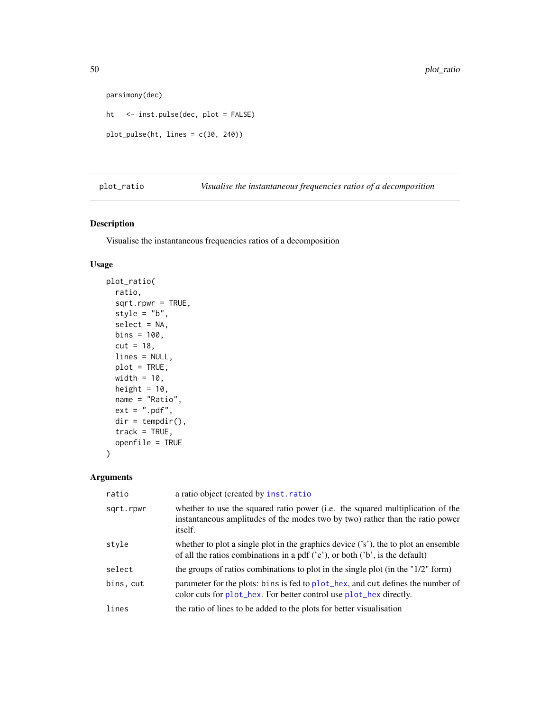```
parsimony(dec)
```

```
ht <- inst.pulse(dec, plot = FALSE)
plot_pulse(ht, lines = c(30, 240))
```
<span id="page-49-1"></span>plot\_ratio *Visualise the instantaneous frequencies ratios of a decomposition*

## Description

Visualise the instantaneous frequencies ratios of a decomposition

## Usage

```
plot_ratio(
 ratio,
  sqrt{1 - r} = TRUE,
  style = "b",
  select = NA,
 bins = 100,
  cut = 18,
 lines = NULL,
 plot = TRUE,
 width = 10,
 height = 10,
 name = "Ratio",
 ext = ".pdf",
 dir = tempdir(),track = TRUE,openfile = TRUE
)
```

| ratio     | a ratio object (created by inst.ratio                                                                                                                                             |
|-----------|-----------------------------------------------------------------------------------------------------------------------------------------------------------------------------------|
| sqrt.rpwr | whether to use the squared ratio power (i.e. the squared multiplication of the<br>instantaneous amplitudes of the modes two by two) rather than the ratio power<br><i>itself.</i> |
| style     | whether to plot a single plot in the graphics device $('s')$ , the to plot an ensemble<br>of all the ratios combinations in a pdf $('e')$ , or both $('b')$ , is the default)     |
| select    | the groups of ratios combinations to plot in the single plot (in the " $1/2$ " form)                                                                                              |
| bins, cut | parameter for the plots: bins is fed to plot_hex, and cut defines the number of<br>color cuts for plot_hex. For better control use plot_hex directly.                             |
| lines     | the ratio of lines to be added to the plots for better visualization                                                                                                              |

<span id="page-49-0"></span>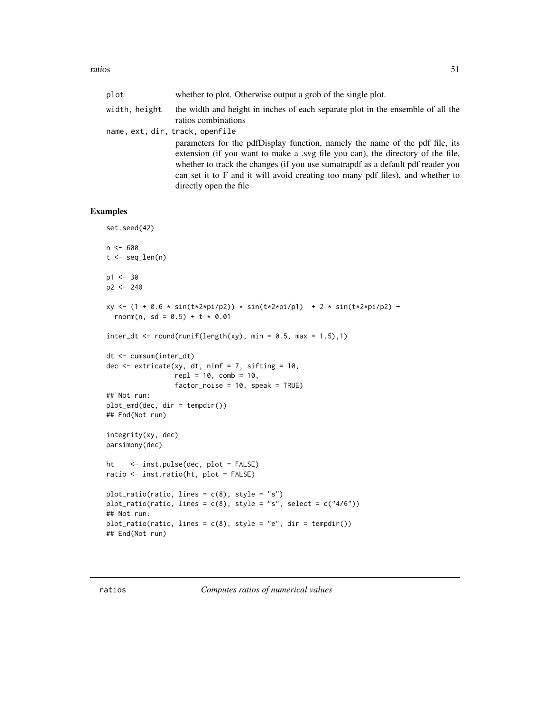<span id="page-50-0"></span>

| plot          | whether to plot. Otherwise output a grob of the single plot.                                                                                                                                                                                                                                                                                                   |
|---------------|----------------------------------------------------------------------------------------------------------------------------------------------------------------------------------------------------------------------------------------------------------------------------------------------------------------------------------------------------------------|
| width, height | the width and height in inches of each separate plot in the ensemble of all the<br>ratios combinations                                                                                                                                                                                                                                                         |
|               | name, ext, dir, track, openfile                                                                                                                                                                                                                                                                                                                                |
|               | parameters for the pdfDisplay function, namely the name of the pdf file, its<br>extension (if you want to make a syg file you can), the directory of the file,<br>whether to track the changes (if you use sumatrapdf as a default pdf reader you<br>can set it to F and it will avoid creating too many pdf files), and whether to<br>directly open the file. |

```
set.seed(42)
n < - 600t < - seq_len(n)
p1 <- 30
p2 <- 240
xy <- (1 + 0.6 * sin(t*2*pi/p2)) * sin(t*2*pi/p1) + 2 * sin(t*2*pi/p2) +
 rnorm(n, sd = 0.5) + t * 0.01
inter_dt \leq round(runif(length(xy), min = 0.5, max = 1.5),1)dt <- cumsum(inter_dt)
dec \leq extricate(xy, dt, nimf = 7, sifting = 10,
                 repl = 10, comb = 10,
                 factor_noise = 10, speak = TRUE)
## Not run:
plot_emd(dec, dir = tempdir())
## End(Not run)
integrity(xy, dec)
parsimony(dec)
ht <- inst.pulse(dec, plot = FALSE)
ratio <- inst.ratio(ht, plot = FALSE)
plot_ratio(ratio, lines = c(8), style = "s")
plot_ratio(ratio, lines = c(8), style = "s", select = c("4/6"))
## Not run:
plot_ratio(ratio, lines = c(8), style = "e", dir = tempdir())
## End(Not run)
```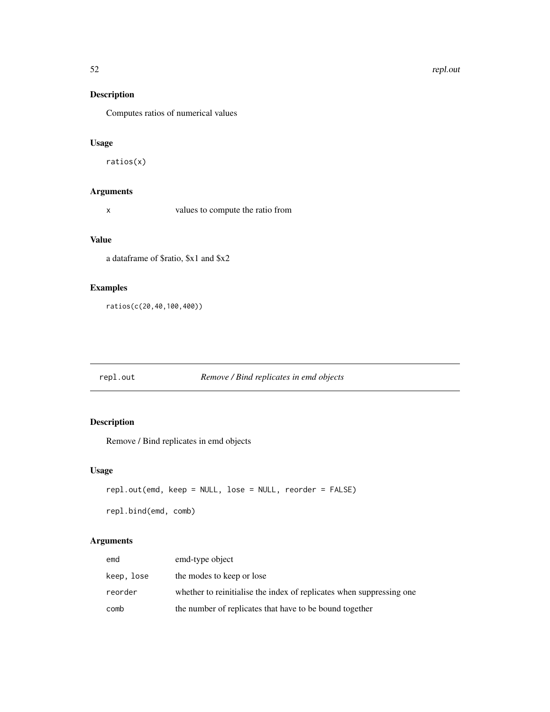## Description

Computes ratios of numerical values

## Usage

ratios(x)

## Arguments

x values to compute the ratio from

## Value

a dataframe of \$ratio, \$x1 and \$x2

## Examples

ratios(c(20,40,100,400))

## repl.out *Remove / Bind replicates in emd objects*

## Description

Remove / Bind replicates in emd objects

## Usage

```
repl.out(emd, keep = NULL, lose = NULL, reorder = FALSE)
repl.bind(emd, comb)
```

| emd        | emd-type object                                                      |
|------------|----------------------------------------------------------------------|
| keep, lose | the modes to keep or lose                                            |
| reorder    | whether to reinitialise the index of replicates when suppressing one |
| comb       | the number of replicates that have to be bound together              |

<span id="page-51-0"></span>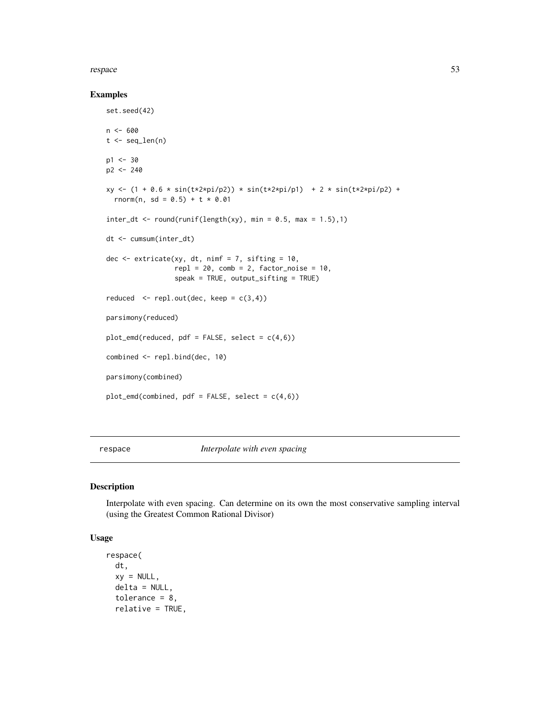#### <span id="page-52-0"></span>respace 53

#### Examples

set.seed(42)

```
n < - 600t < - seq_len(n)
p1 <- 30
p2 <- 240
xy \leftarrow (1 + 0.6 * sin(t \times 2 \times pi/p2)) * sin(t \times 2 \times pi/p1) + 2 * sin(t \times 2 \times pi/p2) +rnorm(n, sd = 0.5) + t * 0.01
inter_dt \leq round(runif(length(xy), min = 0.5, max = 1.5),1)dt <- cumsum(inter_dt)
dec \leq extricate(xy, dt, nimf = 7, sifting = 10,
                  repl = 20, comb = 2, factor\_noise = 10,
                  speak = TRUE, output_sifting = TRUE)
reduced \leq repl.out(dec, keep = c(3,4))
parsimony(reduced)
plot_emd(reduced, pdf = FALSE, select = c(4,6))
combined <- repl.bind(dec, 10)
parsimony(combined)
plot_emd(combined, pdf = FALSE, select = c(4,6))
```
<span id="page-52-1"></span>respace *Interpolate with even spacing*

#### Description

Interpolate with even spacing. Can determine on its own the most conservative sampling interval (using the Greatest Common Rational Divisor)

## Usage

```
respace(
 dt,
 xy = NULL,delta = NULL,
  tolerance = 8,
  relative = TRUE,
```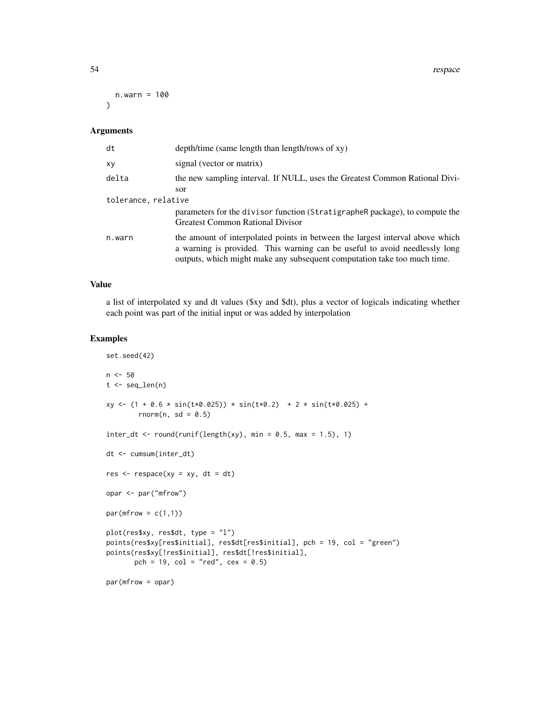54 respace

```
n.warn = 100
\lambda
```
#### Arguments

| dt                  | depth/time (same length than length/rows of xy)                                                                                                                                                                                         |
|---------------------|-----------------------------------------------------------------------------------------------------------------------------------------------------------------------------------------------------------------------------------------|
| ΧV                  | signal (vector or matrix)                                                                                                                                                                                                               |
| delta               | the new sampling interval. If NULL, uses the Greatest Common Rational Divi-<br>sor                                                                                                                                                      |
| tolerance, relative |                                                                                                                                                                                                                                         |
|                     | parameters for the divisor function (StratigrapheR package), to compute the<br><b>Greatest Common Rational Divisor</b>                                                                                                                  |
| n.warn              | the amount of interpolated points in between the largest interval above which<br>a warning is provided. This warning can be useful to avoid needlessly long<br>outputs, which might make any subsequent computation take too much time. |

#### Value

a list of interpolated xy and dt values (\$xy and \$dt), plus a vector of logicals indicating whether each point was part of the initial input or was added by interpolation

```
set.seed(42)
n <- 50
t <- seq_len(n)
xy \leftarrow (1 + 0.6 * sin(t * 0.025)) * sin(t * 0.2) + 2 * sin(t * 0.025) +rnorm(n, sd = 0.5)inter_dt \leftarrow round(runif(length(xy), min = 0.5, max = 1.5), 1)dt <- cumsum(inter_dt)
res \leq respace(xy = xy, dt = dt)
opar <- par("mfrow")
par(mfrow = c(1,1))plot(res$xy, res$dt, type = "l")
points(res$xy[res$initial], res$dt[res$initial], pch = 19, col = "green")
points(res$xy[!res$initial], res$dt[!res$initial],
       pch = 19, col = "red", cex = 0.5)
par(mfrow = opar)
```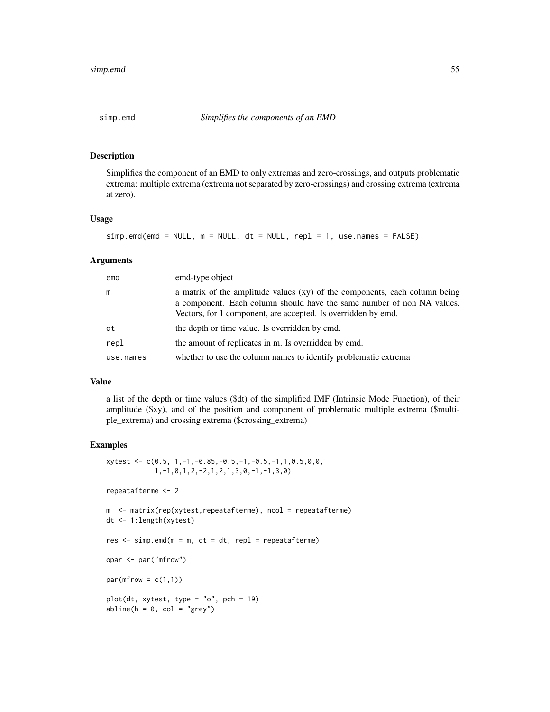<span id="page-54-0"></span>

#### Description

Simplifies the component of an EMD to only extremas and zero-crossings, and outputs problematic extrema: multiple extrema (extrema not separated by zero-crossings) and crossing extrema (extrema at zero).

## Usage

```
sim.emd(emd = NULL, m = NULL, dt = NULL, repl = 1, use.names = FALSE)
```
#### Arguments

| emd       | emd-type object                                                                                                                                                                                                       |
|-----------|-----------------------------------------------------------------------------------------------------------------------------------------------------------------------------------------------------------------------|
| m         | a matrix of the amplitude values (xy) of the components, each column being<br>a component. Each column should have the same number of non NA values.<br>Vectors, for 1 component, are accepted. Is overridden by emd. |
| dt        | the depth or time value. Is overridden by emd.                                                                                                                                                                        |
| repl      | the amount of replicates in m. Is overridden by emd.                                                                                                                                                                  |
| use.names | whether to use the column names to identify problematic extrema                                                                                                                                                       |

#### Value

a list of the depth or time values (\$dt) of the simplified IMF (Intrinsic Mode Function), of their amplitude (\$xy), and of the position and component of problematic multiple extrema (\$multiple\_extrema) and crossing extrema (\$crossing\_extrema)

```
xytest < -c(0.5, 1, -1, -0.85, -0.5, -1, -0.5, -1, 1, 0.5, 0, 0,1,-1,0,1,2,-2,1,2,1,3,0,-1,-1,3,0)
repeatafterme <- 2
m <- matrix(rep(xytest,repeatafterme), ncol = repeatafterme)
dt <- 1:length(xytest)
res \leq simp.emd(m = m, dt = dt, repl = repeatafterme)
opar <- par("mfrow")
par(mfrow = c(1,1))plot(dt, xytest, type = "o", pch = 19)abline(h = 0, col = "grey")
```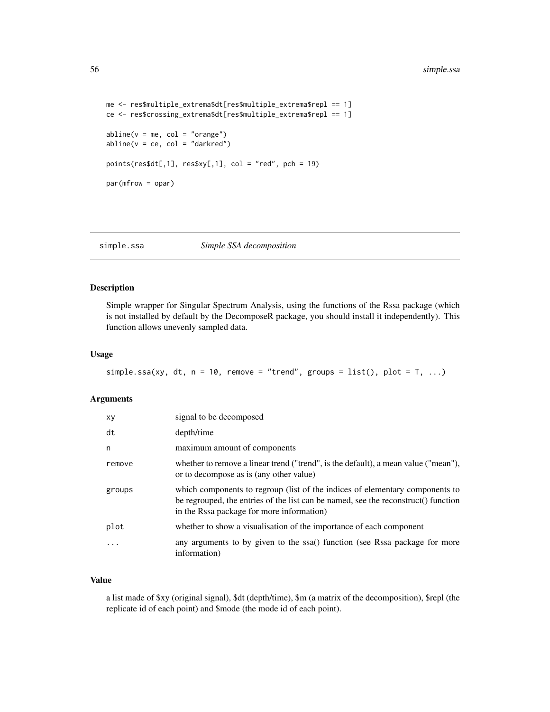```
me <- res$multiple_extrema$dt[res$multiple_extrema$repl == 1]
ce <- res$crossing_extrema$dt[res$multiple_extrema$repl == 1]
abline(v = me, col = "orange")abline(v = ce, col = "darkred")points(res$dt[,1], res$xy[,1], col = "red", pch = 19)par(mfrow = opar)
```
simple.ssa *Simple SSA decomposition*

## Description

Simple wrapper for Singular Spectrum Analysis, using the functions of the Rssa package (which is not installed by default by the DecomposeR package, you should install it independently). This function allows unevenly sampled data.

#### Usage

```
simple.ssa(xy, dt, n = 10, remove = "trend", groups = list(), plot = T, ...)
```
#### Arguments

| xy     | signal to be decomposed                                                                                                                                                                                         |
|--------|-----------------------------------------------------------------------------------------------------------------------------------------------------------------------------------------------------------------|
| dt     | depth/time                                                                                                                                                                                                      |
| n      | maximum amount of components                                                                                                                                                                                    |
| remove | whether to remove a linear trend ("trend", is the default), a mean value ("mean"),<br>or to decompose as is (any other value)                                                                                   |
| groups | which components to regroup (list of the indices of elementary components to<br>be regrouped, the entries of the list can be named, see the reconstruct() function<br>in the Rssa package for more information) |
| plot   | whether to show a visualisation of the importance of each component                                                                                                                                             |
|        | any arguments to by given to the ssa() function (see Rssa package for more<br>information)                                                                                                                      |

## Value

a list made of \$xy (original signal), \$dt (depth/time), \$m (a matrix of the decomposition), \$repl (the replicate id of each point) and \$mode (the mode id of each point).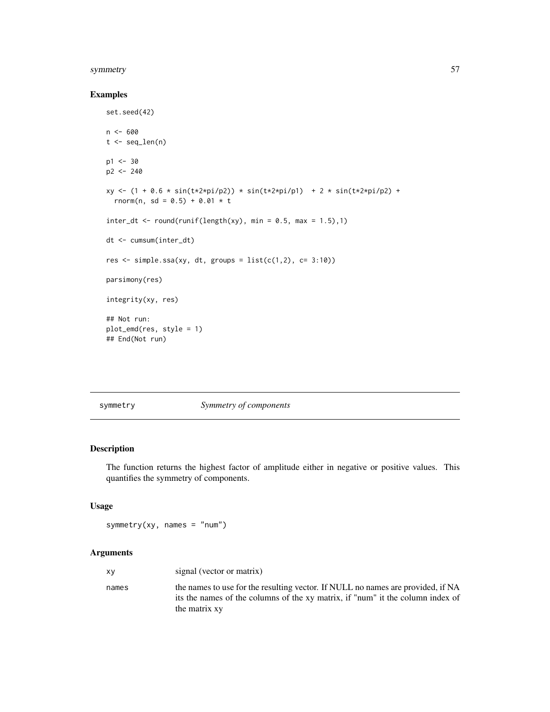#### <span id="page-56-0"></span>symmetry 57

## Examples

```
set.seed(42)
n <- 600
t \leq - seq_len(n)
p1 < -30p2 <- 240
xy <- (1 + 0.6 * sin(t*2*pi/p2)) * sin(t*2*pi/p1) + 2 * sin(t*2*pi/p2) +
  rnorm(n, sd = 0.5) + 0.01 * tinter_dt \leftarrow round(runif(length(xy), min = 0.5, max = 1.5),1)dt <- cumsum(inter_dt)
res \le simple.ssa(xy, dt, groups = list(c(1,2), c= 3:10))
parsimony(res)
integrity(xy, res)
## Not run:
plot_emd(res, style = 1)
## End(Not run)
```
symmetry *Symmetry of components*

#### Description

The function returns the highest factor of amplitude either in negative or positive values. This quantifies the symmetry of components.

## Usage

symmetry(xy, names =  $"num"$ )

| ΧV    | signal (vector or matrix)                                                                                                                                                          |
|-------|------------------------------------------------------------------------------------------------------------------------------------------------------------------------------------|
| names | the names to use for the resulting vector. If NULL no names are provided, if NA<br>its the names of the columns of the xy matrix, if "num" it the column index of<br>the matrix xy |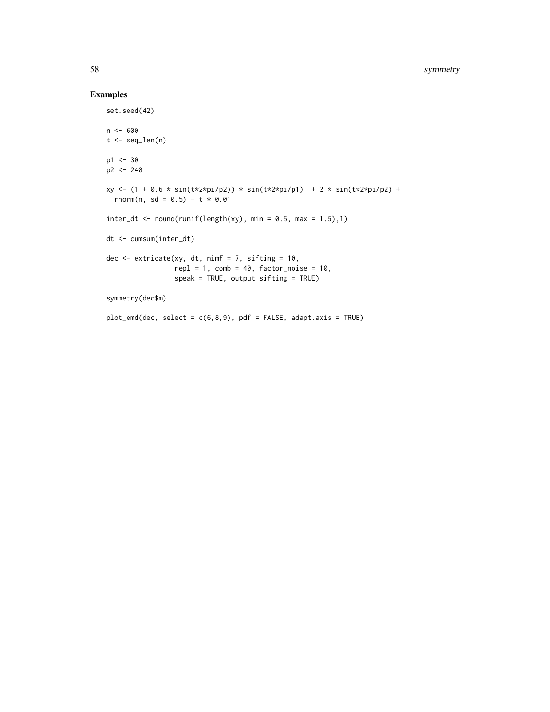```
set.seed(42)
n <- 600
t < - seq_len(n)
p1 <- 30
p2 <- 240
xy \leftarrow (1 + 0.6 * sin(t*)2*pi/p2)) * sin(t*)2*pi/p1) + 2 * sin(t*)2*pi/p2) +rnorm(n, sd = 0.5) + t * 0.01
inter_dt \leftarrow round(runif(length(xy), min = 0.5, max = 1.5),1)dt <- cumsum(inter_dt)
dec \leq extricate(xy, dt, nimf = 7, sifting = 10,
                  repl = 1, comb = 40, factor\_noise = 10,
                  speak = TRUE, output_sifting = TRUE)
symmetry(dec$m)
plot_emd(dec, select = c(6,8,9), pdf = FALSE, adapt.axis = TRUE)
```